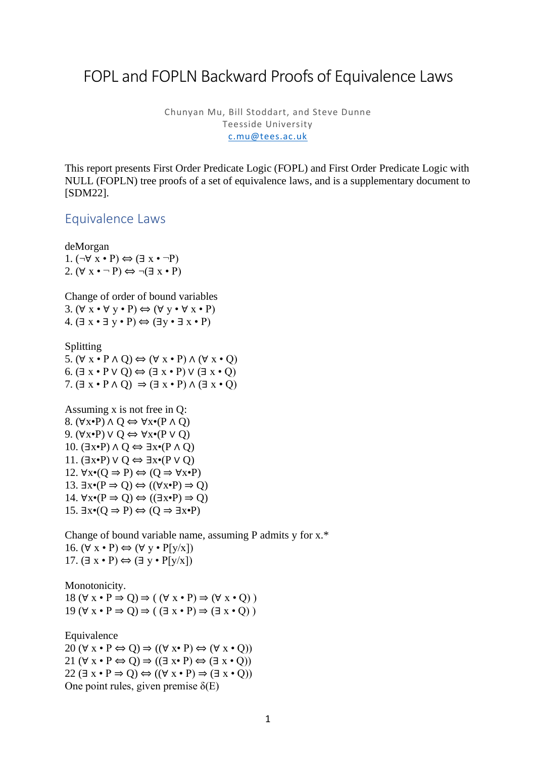## FOPL and FOPLN Backward Proofs of Equivalence Laws

Chunyan Mu, Bill Stoddart, and Steve Dunne Teesside University [c.mu@tees.ac.uk](mailto:c.mu@tees.ac.uk)

This report presents First Order Predicate Logic (FOPL) and First Order Predicate Logic with NULL (FOPLN) tree proofs of a set of equivalence laws, and is a supplementary document to [SDM22].

## Equivalence Laws

deMorgan 1.  $(\neg \forall x \cdot P) \Leftrightarrow (\exists x \cdot \neg P)$ 2.  $(\forall x \cdot \neg P) \Leftrightarrow \neg (\exists x \cdot P)$ 

Change of order of bound variables 3.  $(\forall x \cdot \forall y \cdot P) \Leftrightarrow (\forall y \cdot \forall x \cdot P)$ 4.  $(\exists x \cdot \exists y \cdot P) \Leftrightarrow (\exists y \cdot \exists x \cdot P)$ 

Splitting

5.  $(\forall x \cdot P \land Q) \Leftrightarrow (\forall x \cdot P) \land (\forall x \cdot Q)$ 6.  $(\exists x \cdot P \vee Q) \Leftrightarrow (\exists x \cdot P) \vee (\exists x \cdot Q)$ 7.  $(\exists x \cdot P \land Q) \Rightarrow (\exists x \cdot P) \land (\exists x \cdot Q)$ 

Assuming x is not free in Q: 8.  $(\forall x \cdot P) \land Q \Leftrightarrow \forall x \cdot (P \land Q)$ 9. (∀x•P) ∨ Q ⇔ ∀x•(P ∨ Q) 10.  $(\exists x \cdot P) \land Q \Leftrightarrow \exists x \cdot (P \land Q)$ 11.  $(\exists x \cdot P) \vee Q \Leftrightarrow \exists x \cdot (P \vee Q)$ 12.  $\forall x \bullet (Q \Rightarrow P) \Leftrightarrow (Q \Rightarrow \forall x \bullet P)$ 13.  $\exists x \cdot (P \Rightarrow Q) \Leftrightarrow ((\forall x \cdot P) \Rightarrow Q)$ 14.  $\forall x \bullet (P \Rightarrow O) \Leftrightarrow ((\exists x \bullet P) \Rightarrow O)$ 15.  $\exists x \cdot (Q \Rightarrow P) \Leftrightarrow (Q \Rightarrow \exists x \cdot P)$ 

Change of bound variable name, assuming P admits y for x.\* 16.  $(\forall x \cdot P) \Leftrightarrow (\forall y \cdot P[y/x])$ 17.  $(\exists x \cdot P) \Leftrightarrow (\exists y \cdot P[y/x])$ 

Monotonicity.

18  $(\forall x \cdot P \Rightarrow Q) \Rightarrow ((\forall x \cdot P) \Rightarrow (\forall x \cdot Q))$ 19  $(\forall x \cdot P \Rightarrow Q) \Rightarrow (\exists x \cdot P) \Rightarrow (\exists x \cdot Q)$ 

Equivalence 20  $(\forall x \cdot P \Leftrightarrow Q) \Rightarrow ((\forall x \cdot P) \Leftrightarrow (\forall x \cdot Q))$ 21  $(\forall x \cdot P \Leftrightarrow Q) \Rightarrow ((\exists x \cdot P) \Leftrightarrow (\exists x \cdot Q))$ 22  $(\exists x \cdot P \Rightarrow Q) \Leftrightarrow ((\forall x \cdot P) \Rightarrow (\exists x \cdot Q))$ One point rules, given premise  $\delta(E)$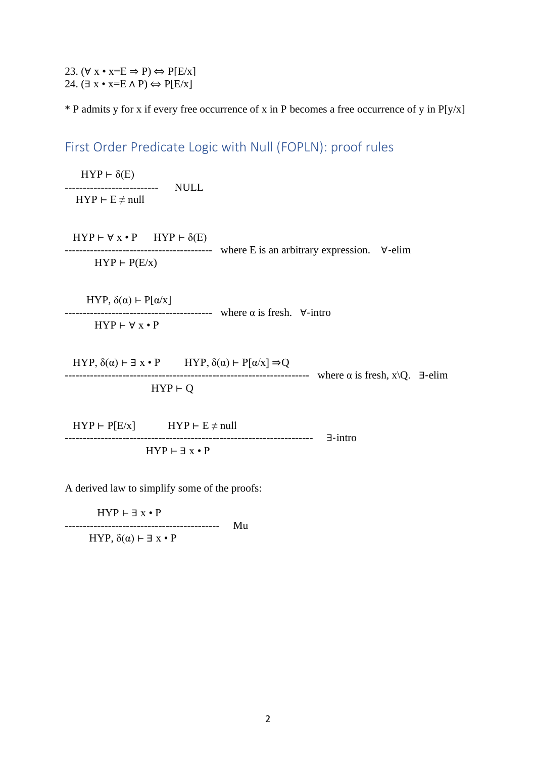23.  $(\forall x \cdot x = E \Rightarrow P) \Leftrightarrow P[E/x]$ 24.  $(\exists x \cdot x = E \land P) \Leftrightarrow P[E/x]$ 

 $*$  P admits y for x if every free occurrence of x in P becomes a free occurrence of y in P[y/x]

First Order Predicate Logic with Null (FOPLN): proof rules

 $HYP \vdash \delta(E)$ -------------------------- NULL  $HYP \vdash E \neq null$ 

 $HYP \vdash \forall x \cdot P$   $HYP \vdash \delta(E)$ ----------------------------------------- where E is an arbitrary expression. ∀-elim  $HYP \vdash P(E/X)$ 

HYP,  $\delta(\alpha)$  ⊢ P[α/x]  $------------------------...$  where α is fresh.  $∀$ -intro  $HYP \vdash \forall x \cdot P$ 

HYP,  $\delta(\alpha) \vdash \exists x \cdot P$  HYP,  $\delta(\alpha) \vdash P[\alpha/x] \Rightarrow Q$ -------------------------------------------------------------------- where α is fresh, x\Q. ∃-elim  $HYP \vdash Q$ 

 $HYP \vdash P[E/x]$   $HYP \vdash E \neq null$ --------------------------------------------------------------------- ∃-intro  $HYP \vdash \exists x \cdot P$ 

A derived law to simplify some of the proofs:

 $HYP \vdash \exists x \cdot P$ 

------------------------------------------- Mu

HYP,  $\delta(\alpha)$  ⊢ ∃ x • P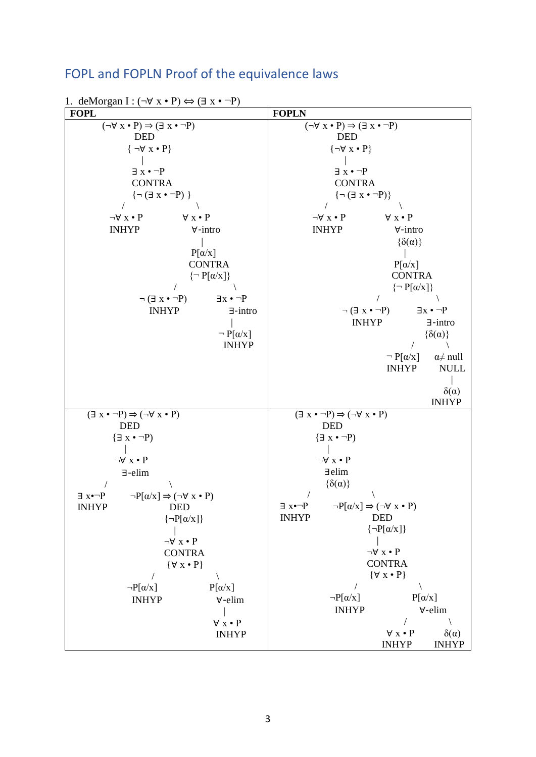## FOPL and FOPLN Proof of the equivalence laws

1. deMorgan I :  $(\neg \forall x \cdot P) \Leftrightarrow (\exists x \cdot \neg P)$ **FOPL FOPLN**  $(\neg \forall x \cdot P) \Rightarrow (\exists x \cdot \neg P)$  DED  $\{\neg \forall x \cdot P\}$  | ∃ x • ¬P **CONTRA**  ${¬(∃ x • ¬P)}$  $\sqrt{2}$  $\neg \forall x \bullet P$   $\forall x \bullet P$  INHYP ∀-intro |  $P[\alpha/x]$ **CONTRA**  $\{\neg P[\alpha/x]\}$  $/$   $/$  $\neg (\exists x \cdot \neg P)$   $\exists x \cdot \neg P$  INHYP ∃-intro |  $\neg P[\alpha/x]$  INHYP  $(\neg \forall x \cdot P) \Rightarrow (\exists x \cdot \neg P)$  DED  $\{\neg \forall x \cdot P\}$  | ∃ x • ¬P **CONTRA**  $\{\neg (\exists x \cdot \neg P)\}\$  $\sqrt{2}$  $\neg \forall x \bullet P \qquad \qquad \forall x \bullet P$  INHYP ∀-intro  $\{\delta(\alpha)\}\$  |  $P[\alpha/x]$ **CONTRA**  $\{\neg P[\alpha/x]\}$  $/$   $/$  $\neg (\exists x \cdot \neg P)$   $\exists x \cdot \neg P$  INHYP ∃-intro  $\{\delta(\alpha)\}\$  $\sqrt{2}$  $\neg P[\alpha/x]$   $\alpha \neq \text{null}$  INHYP NULL |  $\delta(\alpha)$  INHYP  $(\exists x \cdot \neg P) \Rightarrow (\neg \forall x \cdot P)$  DED  ${ \exists x \cdot \neg P }$  |  $\neg \forall x \bullet P$  ∃-elim  $\sqrt{2}$  $\exists x \cdot \neg P$   $\neg P[\alpha/x] \Rightarrow (\neg \forall x \cdot P)$  INHYP DED  $\{\neg P[\alpha/x]\}$  |  $\neg \forall x \bullet P$  CONTRA {∀ x • P}  $\sqrt{2}$  $\neg P[\alpha/x]$   $P[\alpha/x]$  INHYP ∀-elim | ∀ x • P INHYP  $(\exists x \cdot \neg P) \Rightarrow (\neg \forall x \cdot P)$  DED  ${ \exists x \cdot \neg P }$  $\blacksquare$  ¬∀ x • P ∃elim  $\{\delta(\alpha)\}\$  $\sqrt{2}$  $\exists x \cdot \neg P$   $\neg P[\alpha/x] \Rightarrow (\neg \forall x \cdot P)$  INHYP DED  $\{\neg P[\alpha/x]\}$  |  $\neg \forall x \bullet P$ **CONTRA**  {∀ x • P}  $\sqrt{2}$  $\neg P[\alpha/x]$   $P[\alpha/x]$  INHYP ∀-elim  $\sqrt{2}$  $\forall x \cdot P$   $\delta(\alpha)$ INHYP INHYP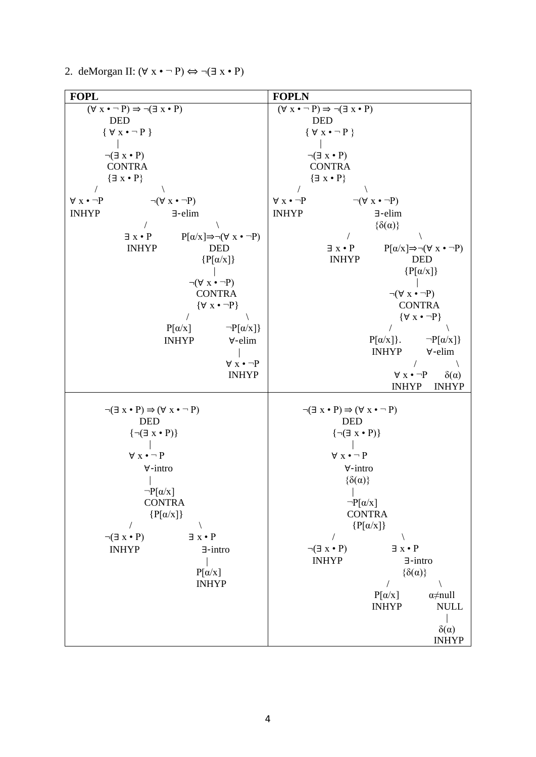2. deMorgan II:  $(\forall x \cdot \neg P) \Leftrightarrow \neg (\exists x \cdot P)$ 

| <b>FOPL</b>                                                                                                                                                                                                                                                                                                                                                                                                                                                                                                                                                                                                                              | <b>FOPLN</b>                                                                                                                                                                                                                                                                                                                                                                                                                                                                                                                                                                                                                                                                                             |
|------------------------------------------------------------------------------------------------------------------------------------------------------------------------------------------------------------------------------------------------------------------------------------------------------------------------------------------------------------------------------------------------------------------------------------------------------------------------------------------------------------------------------------------------------------------------------------------------------------------------------------------|----------------------------------------------------------------------------------------------------------------------------------------------------------------------------------------------------------------------------------------------------------------------------------------------------------------------------------------------------------------------------------------------------------------------------------------------------------------------------------------------------------------------------------------------------------------------------------------------------------------------------------------------------------------------------------------------------------|
| $(\forall x \cdot \neg P) \Rightarrow \neg (\exists x \cdot P)$<br><b>DED</b><br>$\{ \forall x \bullet \neg P \}$<br>$\neg(\exists x \cdot P)$<br><b>CONTRA</b><br>$\{\exists x \cdot P\}$<br>$\forall x \cdot \neg P$<br>$\neg(\forall x \cdot \neg P)$<br><b>INHYP</b><br>$\exists$ -elim<br>$P[\alpha/x] \Rightarrow \neg(\forall x \cdot \neg P)$<br>$\exists x \cdot P$<br><b>INHYP</b><br><b>DED</b><br>$\{P[\alpha/x]\}$<br>$\neg(\forall x \cdot \neg P)$<br><b>CONTRA</b><br>$\{\forall x \cdot \neg P\}$<br>$P[\alpha/x]$<br>$\neg P[\alpha/x]$<br><b>INHYP</b><br>$\forall$ -elim<br>$\forall x \cdot \neg P$<br><b>INHYP</b> | $(\forall x \cdot \neg P) \Rightarrow \neg (\exists x \cdot P)$<br><b>DED</b><br>$\{ \forall x \bullet \neg P \}$<br>$\neg(\exists x \cdot P)$<br><b>CONTRA</b><br>$\{\exists x \cdot P\}$<br>$\forall x \cdot \neg P$<br>$\neg(\forall x \cdot \neg P)$<br><b>INHYP</b><br>$\exists$ -elim<br>$\{\delta(\alpha)\}\$<br>$P[\alpha/x] \Rightarrow \neg(\forall x \cdot \neg P)$<br>$\exists x \cdot P$<br><b>INHYP</b><br><b>DED</b><br>$\{P[\alpha/x]\}$<br>$\neg(\forall x \cdot \neg P)$<br><b>CONTRA</b><br>$\{\forall x \cdot \neg P\}$<br>$P[\alpha/x]\}.$<br>$\neg P[\alpha/x]$<br><b>INHYP</b><br>$\forall$ -elim<br>$\forall x \cdot \neg P$<br>$\delta(\alpha)$<br><b>INHYP</b><br><b>INHYP</b> |
| $\neg(\exists x \cdot P) \Rightarrow (\forall x \cdot \neg P)$<br><b>DED</b><br>$\{\neg(\exists x \cdot P)\}\$<br>$\forall x \cdot \neg P$<br>$\forall$ -intro<br>$\neg P[\alpha/x]$<br><b>CONTRA</b><br>$\{P[\alpha/x]\}$<br>$\exists x \cdot P$<br>$\neg(\exists x \cdot P)$<br><b>INHYP</b><br>$\exists$ -intro<br>$P[\alpha/x]$<br><b>INHYP</b>                                                                                                                                                                                                                                                                                      | $\neg(\exists x \cdot P) \Rightarrow (\forall x \cdot \neg P)$<br><b>DED</b><br>$\{\neg(\exists x \cdot P)\}\$<br>$\forall x \bullet \neg P$<br>∀-intro<br>$\{\delta(\alpha)\}\$<br>$\neg P[\alpha/x]$<br><b>CONTRA</b><br>$\{P[\alpha/x]\}$<br>$\exists x \cdot P$<br>$\neg(\exists x \cdot P)$<br><b>INHYP</b><br>$\exists$ -intro<br>$\{\delta(\alpha)\}\$<br>$P[\alpha/x]$<br>$\alpha \neq \text{null}$<br><b>INHYP</b><br><b>NULL</b><br>$\delta(\alpha)$<br><b>INHYP</b>                                                                                                                                                                                                                           |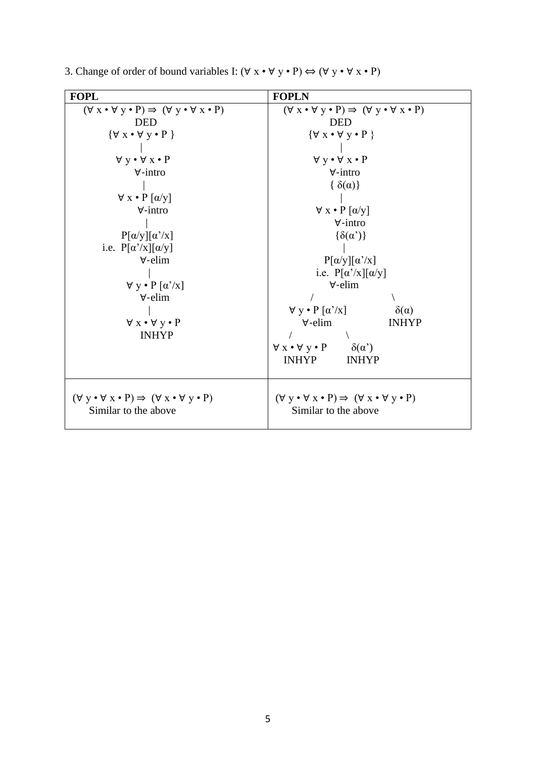| <b>FOPL</b>                                                                           | <b>FOPLN</b>                                                                          |  |  |
|---------------------------------------------------------------------------------------|---------------------------------------------------------------------------------------|--|--|
| $(\forall x \cdot \forall y \cdot P) \Rightarrow (\forall y \cdot \forall x \cdot P)$ | $(\forall x \cdot \forall y \cdot P) \Rightarrow (\forall y \cdot \forall x \cdot P)$ |  |  |
| <b>DED</b>                                                                            | <b>DED</b>                                                                            |  |  |
| $\{\forall x \bullet \forall y \bullet P\}$                                           | $\{\forall x \bullet \forall y \bullet P\}$                                           |  |  |
|                                                                                       |                                                                                       |  |  |
| $\forall y \cdot \forall x \cdot P$                                                   | $\forall y \cdot \forall x \cdot P$                                                   |  |  |
| $\forall$ -intro                                                                      | $\forall$ -intro                                                                      |  |  |
|                                                                                       | $\{\delta(\alpha)\}\$                                                                 |  |  |
| $\forall x \cdot P [\alpha/y]$                                                        |                                                                                       |  |  |
| $\forall$ -intro                                                                      | $\forall x \cdot P [\alpha/y]$                                                        |  |  |
|                                                                                       | $\forall$ -intro                                                                      |  |  |
| $P[\alpha/y][\alpha'/x]$                                                              | $\{\delta(\alpha')\}$                                                                 |  |  |
| i.e. $P[\alpha'/x][\alpha/y]$                                                         |                                                                                       |  |  |
| $\forall$ -elim                                                                       | $P[\alpha/y][\alpha'/x]$                                                              |  |  |
|                                                                                       | i.e. $P[\alpha'/x][\alpha/y]$                                                         |  |  |
| $\forall y \cdot P [\alpha'/x]$                                                       | $\forall$ -elim                                                                       |  |  |
| $\forall$ -elim                                                                       |                                                                                       |  |  |
|                                                                                       | $\forall y \cdot P [\alpha'/x]$<br>$\delta(\alpha)$                                   |  |  |
| $\forall x \cdot \forall y \cdot P$                                                   | $\forall$ -elim<br><b>INHYP</b>                                                       |  |  |
| <b>INHYP</b>                                                                          |                                                                                       |  |  |
|                                                                                       | $\forall x \cdot \forall y \cdot P$<br>$\delta(\alpha')$                              |  |  |
|                                                                                       | <b>INHYP</b><br><b>INHYP</b>                                                          |  |  |
|                                                                                       |                                                                                       |  |  |
|                                                                                       |                                                                                       |  |  |
| $(\forall y \cdot \forall x \cdot P) \Rightarrow (\forall x \cdot \forall y \cdot P)$ | $(\forall y \cdot \forall x \cdot P) \Rightarrow (\forall x \cdot \forall y \cdot P)$ |  |  |
| Similar to the above                                                                  | Similar to the above                                                                  |  |  |
|                                                                                       |                                                                                       |  |  |

3. Change of order of bound variables I:  $(\forall x \cdot \forall y \cdot P) \Leftrightarrow (\forall y \cdot \forall x \cdot P)$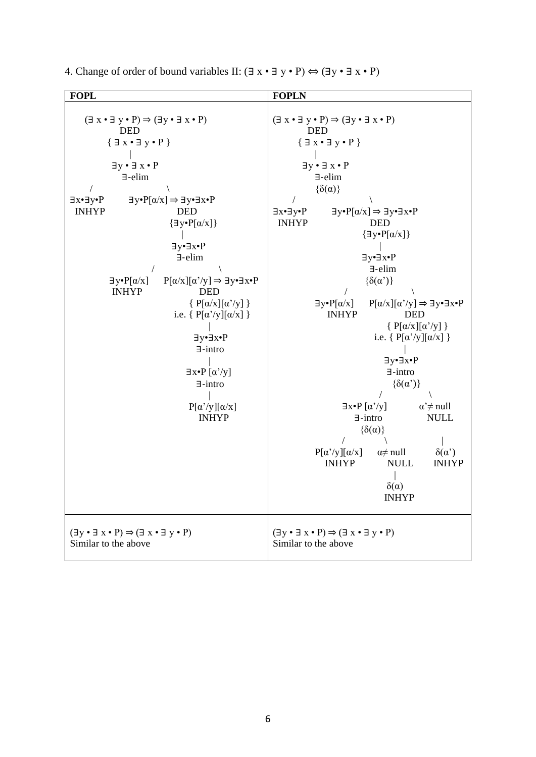| <b>FOPL</b>                                                                                                                                                                                                                                                                                                                                                                                                                                                                                                                                                                                                                                                                                                                                                                | <b>FOPLN</b>                                                                                                                                                                                                                                                                                                                                                                                                                                                                                                                                                                                                                                                                                                                                                                                                                                                                                                                                                                                                                             |
|----------------------------------------------------------------------------------------------------------------------------------------------------------------------------------------------------------------------------------------------------------------------------------------------------------------------------------------------------------------------------------------------------------------------------------------------------------------------------------------------------------------------------------------------------------------------------------------------------------------------------------------------------------------------------------------------------------------------------------------------------------------------------|------------------------------------------------------------------------------------------------------------------------------------------------------------------------------------------------------------------------------------------------------------------------------------------------------------------------------------------------------------------------------------------------------------------------------------------------------------------------------------------------------------------------------------------------------------------------------------------------------------------------------------------------------------------------------------------------------------------------------------------------------------------------------------------------------------------------------------------------------------------------------------------------------------------------------------------------------------------------------------------------------------------------------------------|
| $(\exists x \cdot \exists y \cdot P) \Rightarrow (\exists y \cdot \exists x \cdot P)$<br><b>DED</b><br>${ \exists x \cdot \exists y \cdot P }$<br>$\exists y \cdot \exists x \cdot P$<br>$\exists$ -elim<br>$\exists y \bullet P[\alpha/x] \Rightarrow \exists y \bullet \exists x \bullet P$<br>∃x∙∃y•P<br><b>INHYP</b><br><b>DED</b><br>$\{\exists y \bullet P[\alpha/x]\}$<br>∃y•∃x•P<br>$\exists$ -elim<br>$P[\alpha/x][\alpha'/y] \Rightarrow \exists y \bullet \exists x \bullet P$<br>$\exists y \cdot P[\alpha/x]$<br><b>INHYP</b><br><b>DED</b><br>$\{P[\alpha/x][\alpha'/y]\}$<br>i.e. { $P[\alpha'/y][\alpha/x]$ }<br>∃y•∃x•P<br>$\exists$ -intro<br>$\exists x\text{-}P\left[\alpha'/y\right]$<br>$\exists$ -intro<br>$P[\alpha'/y][\alpha/x]$<br><b>INHYP</b> | $(\exists x \cdot \exists y \cdot P) \Rightarrow (\exists y \cdot \exists x \cdot P)$<br><b>DED</b><br>${ \exists x \cdot \exists y \cdot P }$<br>$\exists y \cdot \exists x \cdot P$<br>$\exists$ -elim<br>$\{\delta(\alpha)\}\$<br>$\exists y \bullet P[\alpha/x] \Rightarrow \exists y \bullet \exists x \bullet P$<br>∃x•∃y•P<br><b>INHYP</b><br><b>DED</b><br>$\{\exists y \bullet P[\alpha/x]\}$<br>∃y•∃x•P<br>$\exists$ -elim<br>$\{\delta(\alpha')\}$<br>$\exists y \bullet P[\alpha/x]$<br>$P[\alpha/x][\alpha'/y] \Rightarrow \exists y \bullet \exists x \bullet P$<br><b>INHYP</b><br><b>DED</b><br>{ $P[\alpha/x][\alpha'/y]$ }<br>i.e. { $P[\alpha'/y][\alpha/x]$ }<br>∃y•∃x•P<br>$\exists$ -intro<br>$\{\delta(\alpha')\}$<br>$\exists x \bullet P [\alpha'/y]$<br>$\alpha \neq \text{null}$<br>$\exists$ -intro<br><b>NULL</b><br>$\{\delta(\alpha)\}\$<br>$P[\alpha'/y][\alpha/x]$<br>$\alpha \neq \text{null}$<br>$\delta(\alpha')$<br><b>NULL</b><br><b>INHYP</b><br><b>INHYP</b><br>$\delta(\alpha)$<br><b>INHYP</b> |
| $(\exists y \cdot \exists x \cdot P) \Rightarrow (\exists x \cdot \exists y \cdot P)$<br>Similar to the above                                                                                                                                                                                                                                                                                                                                                                                                                                                                                                                                                                                                                                                              | $(\exists y \cdot \exists x \cdot P) \Rightarrow (\exists x \cdot \exists y \cdot P)$<br>Similar to the above                                                                                                                                                                                                                                                                                                                                                                                                                                                                                                                                                                                                                                                                                                                                                                                                                                                                                                                            |

4. Change of order of bound variables II:  $(\exists x \cdot \exists y \cdot P) \Leftrightarrow (\exists y \cdot \exists x \cdot P)$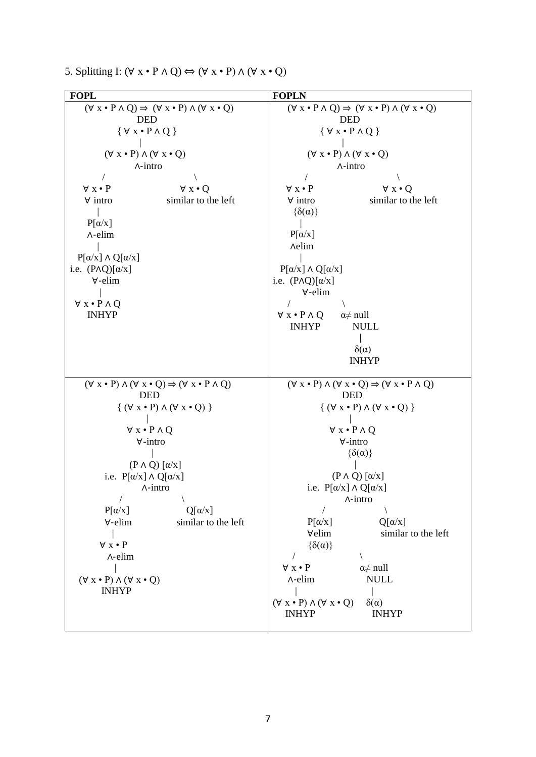|  | 5. Splitting I: $(\forall x \cdot P \land Q) \Leftrightarrow (\forall x \cdot P) \land (\forall x \cdot Q)$ |  |  |  |  |  |  |  |  |  |
|--|-------------------------------------------------------------------------------------------------------------|--|--|--|--|--|--|--|--|--|
|--|-------------------------------------------------------------------------------------------------------------|--|--|--|--|--|--|--|--|--|

| <b>FOPL</b>                                                                                                                                                                                                                                                                                                                                                                                                                                                                                          | <b>FOPLN</b>                                                                                                                                                                                                                                                                                                                                                                                                                                                                                                                                                                                                                |  |  |
|------------------------------------------------------------------------------------------------------------------------------------------------------------------------------------------------------------------------------------------------------------------------------------------------------------------------------------------------------------------------------------------------------------------------------------------------------------------------------------------------------|-----------------------------------------------------------------------------------------------------------------------------------------------------------------------------------------------------------------------------------------------------------------------------------------------------------------------------------------------------------------------------------------------------------------------------------------------------------------------------------------------------------------------------------------------------------------------------------------------------------------------------|--|--|
| $(\forall x \cdot P \land Q) \Rightarrow (\forall x \cdot P) \land (\forall x \cdot Q)$<br><b>DED</b><br>$\{ \forall x \cdot P \land Q \}$<br>$(\forall x \cdot P) \land (\forall x \cdot Q)$<br>$\wedge$ -intro<br>$\forall x \cdot P$<br>$\forall x \cdot Q$<br>$\forall$ intro<br>similar to the left<br>$P[\alpha/x]$<br>$\Lambda$ -elim<br>$P[\alpha/x] \wedge Q[\alpha/x]$<br>i.e. $(P \wedge Q)[\alpha/x]$<br>$\forall$ -elim<br>$\forall x \cdot P \land Q$<br><b>INHYP</b>                  | $(\forall x \cdot P \land Q) \Rightarrow (\forall x \cdot P) \land (\forall x \cdot Q)$<br><b>DED</b><br>$\{ \forall x \bullet P \land Q \}$<br>$(\forall x \cdot P) \land (\forall x \cdot Q)$<br>$\wedge$ -intro<br>$\forall x \cdot P$<br>$\forall x \cdot Q$<br>similar to the left<br>$\forall$ intro<br>$\{\delta(\alpha)\}\$<br>$P[\alpha/x]$<br><b>Aelim</b><br>$P[\alpha/x] \wedge Q[\alpha/x]$<br>i.e. $(P \wedge Q)[\alpha/x]$<br>$\forall$ -elim<br>$\forall x \cdot P \land Q$<br>$\alpha \neq \text{null}$<br><b>INHYP</b><br><b>NULL</b><br>$\delta(\alpha)$<br><b>INHYP</b>                                 |  |  |
| $(\forall x \cdot P) \land (\forall x \cdot Q) \Rightarrow (\forall x \cdot P \land Q)$<br><b>DED</b><br>$\{ (\forall x \cdot P) \land (\forall x \cdot Q) \}$<br>$\forall x \cdot P \land Q$<br>$\forall$ -intro<br>$(P \wedge Q) [\alpha/x]$<br>i.e. $P[\alpha/x] \wedge Q[\alpha/x]$<br>$\Lambda$ -intro<br>$P[\alpha/x]$<br>$Q[\alpha/x]$<br>$\forall$ -elim<br>similar to the left<br>$\forall x \cdot P$<br>$\Lambda$ -elim<br>$(\forall x \cdot P) \land (\forall x \cdot Q)$<br><b>INHYP</b> | $(\forall x \cdot P) \land (\forall x \cdot Q) \Rightarrow (\forall x \cdot P \land Q)$<br><b>DED</b><br>$\{ (\forall x \cdot P) \land (\forall x \cdot Q) \}$<br>$\forall x \cdot P \land Q$<br>$\forall$ -intro<br>$\{\delta(\alpha)\}\$<br>$(P \wedge Q) [\alpha/x]$<br>i.e. $P[\alpha/x] \wedge Q[\alpha/x]$<br>$\wedge$ -intro<br>$P[\alpha/x]$<br>$Q[\alpha/x]$<br>∀elim<br>similar to the left<br>$\{\delta(\alpha)\}\$<br>$\forall x \cdot P$<br>$\alpha \neq \text{null}$<br>$\Lambda$ -elim<br><b>NULL</b><br>$(\forall x \cdot P) \land (\forall x \cdot Q)$<br>$\delta(\alpha)$<br><b>INHYP</b><br><b>INHYP</b> |  |  |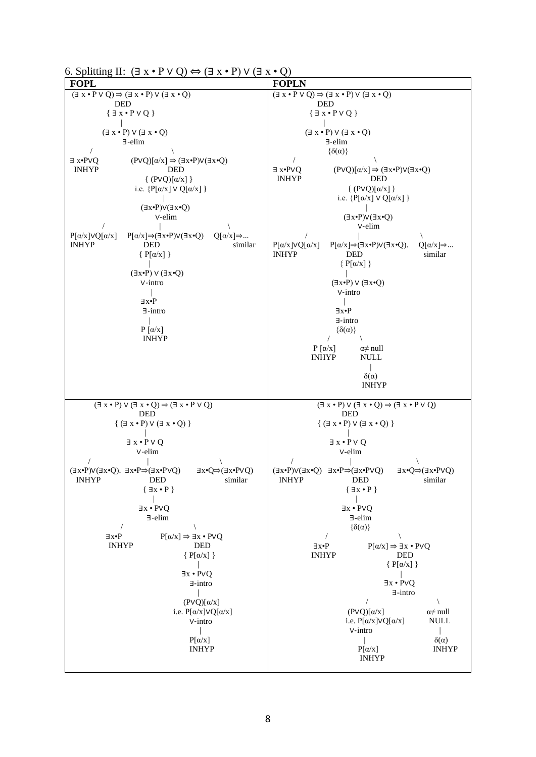6. Splitting II:  $(\exists x \cdot P \vee Q) \Leftrightarrow (\exists x \cdot P) \vee (\exists x \cdot Q)$ 

| <b>FOPL</b>                                                                                                                                                                                                                                                                                                                                                                                                                                                                                                                                                                                | <b>FOPLN</b>                                                                                                                                                                                                                                                                                                                                                                                                                                                                                                                                                                                                                                       |
|--------------------------------------------------------------------------------------------------------------------------------------------------------------------------------------------------------------------------------------------------------------------------------------------------------------------------------------------------------------------------------------------------------------------------------------------------------------------------------------------------------------------------------------------------------------------------------------------|----------------------------------------------------------------------------------------------------------------------------------------------------------------------------------------------------------------------------------------------------------------------------------------------------------------------------------------------------------------------------------------------------------------------------------------------------------------------------------------------------------------------------------------------------------------------------------------------------------------------------------------------------|
| $(\exists x \cdot P \vee Q) \Rightarrow (\exists x \cdot P) \vee (\exists x \cdot Q)$                                                                                                                                                                                                                                                                                                                                                                                                                                                                                                      | $(\exists x \cdot P \vee Q) \Rightarrow (\exists x \cdot P) \vee (\exists x \cdot Q)$                                                                                                                                                                                                                                                                                                                                                                                                                                                                                                                                                              |
| <b>DED</b><br>$\{\exists x \cdot P \vee Q\}$                                                                                                                                                                                                                                                                                                                                                                                                                                                                                                                                               | <b>DED</b><br>$\{\exists x \cdot P \vee Q\}$                                                                                                                                                                                                                                                                                                                                                                                                                                                                                                                                                                                                       |
|                                                                                                                                                                                                                                                                                                                                                                                                                                                                                                                                                                                            |                                                                                                                                                                                                                                                                                                                                                                                                                                                                                                                                                                                                                                                    |
| $(\exists x \cdot P) \vee (\exists x \cdot Q)$<br>$\exists$ -elim                                                                                                                                                                                                                                                                                                                                                                                                                                                                                                                          | $(\exists x \cdot P) \vee (\exists x \cdot Q)$<br>$\exists$ -elim                                                                                                                                                                                                                                                                                                                                                                                                                                                                                                                                                                                  |
|                                                                                                                                                                                                                                                                                                                                                                                                                                                                                                                                                                                            | $\{\delta(\alpha)\}\$                                                                                                                                                                                                                                                                                                                                                                                                                                                                                                                                                                                                                              |
| $\exists x \cdot PVQ$<br>$(PVQ)[\alpha/x] \Rightarrow (\exists x \cdot P)V(\exists x \cdot Q)$<br><b>INHYP</b><br><b>DED</b><br>$\{ (PVQ)[\alpha/x] \}$<br>i.e. $\{P[\alpha/x] \vee Q[\alpha/x] \}$<br>$(\exists x \cdot P) \vee (\exists x \cdot Q)$<br>V-elim<br>$P[\alpha/x]VQ[\alpha/x]$<br>$P[\alpha/x] \Rightarrow (\exists x \cdot P) \vee (\exists x \cdot Q)$<br>$Q[\alpha/x] \Rightarrow $<br><b>INHYP</b><br><b>DED</b><br>similar<br>${P[\alpha/x]}$<br>$(\exists x \cdot P) \vee (\exists x \cdot Q)$<br>V-intro<br>∃x∙P<br>$\exists$ -intro<br>$P[\alpha/x]$<br><b>INHYP</b> | $\exists x \cdot PVQ$<br>$(PVQ)[\alpha/x] \Rightarrow (\exists x \cdot P)V(\exists x \cdot Q)$<br><b>INHYP</b><br><b>DED</b><br>$\{ (PVQ)[\alpha/x] \}$<br>i.e. $\{P[\alpha/x] \vee Q[\alpha/x] \}$<br>$(\exists x \cdot P) \vee (\exists x \cdot Q)$<br>v-elim<br>$P[\alpha/x] \Rightarrow (\exists x \cdot P) \vee (\exists x \cdot Q).$<br>$P[\alpha/x] \vee Q[\alpha/x]$<br>$Q[\alpha/x] \Rightarrow $<br><b>INHYP</b><br>similar<br>DED<br>$\{P[\alpha/x]\}$<br>$(\exists x \cdot P) \vee (\exists x \cdot Q)$<br>V-intro<br>∃x•P<br>$\exists$ -intro<br>$\{\delta(\alpha)\}\$<br>$\prime$<br>$P[\alpha/x]$<br>$\alpha \neq \text{null}$      |
|                                                                                                                                                                                                                                                                                                                                                                                                                                                                                                                                                                                            | <b>INHYP</b><br><b>NULL</b><br>$\delta(\alpha)$<br><b>INHYP</b>                                                                                                                                                                                                                                                                                                                                                                                                                                                                                                                                                                                    |
| $(\exists x \cdot P) \vee (\exists x \cdot Q) \Rightarrow (\exists x \cdot P \vee Q)$<br><b>DED</b><br>$\{ (\exists x \cdot P) \vee (\exists x \cdot Q) \}$<br>$\exists x \cdot P \vee Q$<br>v-elim                                                                                                                                                                                                                                                                                                                                                                                        | $(\exists x \cdot P) \vee (\exists x \cdot Q) \Rightarrow (\exists x \cdot P \vee Q)$<br><b>DED</b><br>$\{ (\exists x \cdot P) \vee (\exists x \cdot Q) \}$<br>$\exists x \cdot P \vee Q$<br>V-elim                                                                                                                                                                                                                                                                                                                                                                                                                                                |
| $(\exists x \cdot P) \vee (\exists x \cdot Q)$ . $\exists x \cdot P \Rightarrow (\exists x \cdot P \vee Q)$<br>$\exists x \cdot Q \Rightarrow (\exists x \cdot P \vee Q)$<br><b>INHYP</b><br><b>DED</b><br>similar<br>$\{ \exists x \cdot P \}$<br>$\exists x \cdot PVQ$<br>∃-elim<br>$\overline{1}$<br>$P[\alpha/x] \Rightarrow \exists x \cdot PVQ$<br>$\exists x \bullet P$<br><b>INHYP</b><br>DED<br>$\{P[\alpha/x]\}$<br>$\exists x \cdot PVQ$<br>$\exists$ -intro<br>$(PVQ)[\alpha/x]$<br>i.e. $P[\alpha/x] \vee Q[\alpha/x]$<br>V-intro<br>$P[\alpha/x]$<br><b>INHYP</b>            | $(\exists x \cdot P) \vee (\exists x \cdot Q)$ $\exists x \cdot P \Rightarrow (\exists x \cdot P \vee Q)$<br>$\exists x \cdot Q \Rightarrow (\exists x \cdot P \vee Q)$<br>INHYP DED<br>similar<br>$\{ \exists x \cdot P \}$<br>$\exists x \cdot PVQ$<br>∃-elim<br>$\{\delta(\alpha)\}\$<br>$\exists x\bullet P$<br>$P[\alpha/x] \Rightarrow \exists x \cdot PVQ$<br><b>INHYP</b><br>DED<br>$\{P[\alpha/x]\}$<br>$\exists x \cdot PVQ$<br>$\exists$ -intro<br>$(PVQ)[\alpha/x]$<br>$\alpha \neq \text{null}$<br>i.e. $P[\alpha/x] \vee Q[\alpha/x]$<br><b>NULL</b><br>V-intro<br>$\delta(\alpha)$<br>$P[\alpha/x]$<br><b>INHYP</b><br><b>INHYP</b> |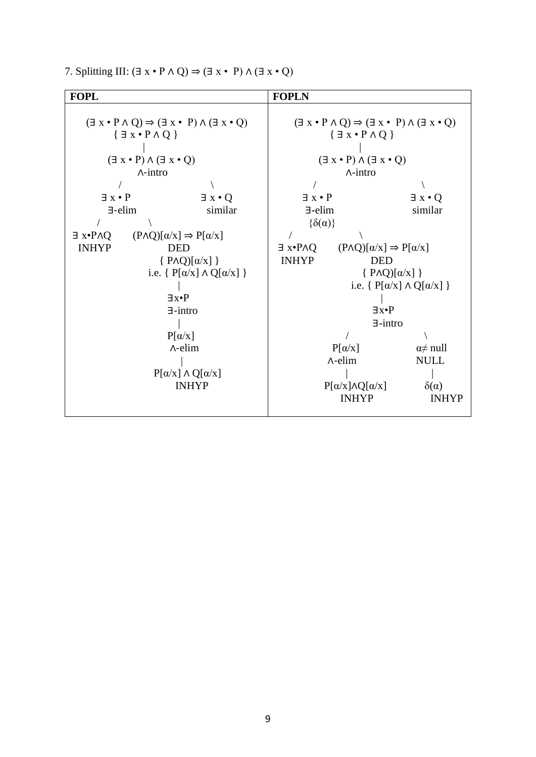7. Splitting III:  $(\exists x \cdot P \land Q) \Rightarrow (\exists x \cdot P) \land (\exists x \cdot Q)$ 

| <b>FOPL</b>                                                                                                                                                                                      |                                                  | <b>FOPLN</b>                                                                                                                                                                                      |                                                  |                                           |
|--------------------------------------------------------------------------------------------------------------------------------------------------------------------------------------------------|--------------------------------------------------|---------------------------------------------------------------------------------------------------------------------------------------------------------------------------------------------------|--------------------------------------------------|-------------------------------------------|
| $(\exists x \cdot P \land Q) \Rightarrow (\exists x \cdot P) \land (\exists x \cdot Q)$<br>${ \exists x \cdot P \land Q }$<br>$(\exists x \cdot P) \land (\exists x \cdot Q)$<br>$\wedge$ -intro |                                                  | $(\exists x \cdot P \land Q) \Rightarrow (\exists x \cdot P) \land (\exists x \cdot Q)$<br>$\{\exists x \cdot P \land Q\}$<br>$(\exists x \cdot P) \land (\exists x \cdot Q)$<br>$\Lambda$ -intro |                                                  |                                           |
| $\exists x \cdot P$                                                                                                                                                                              | $\exists x \cdot Q$                              | $\exists x \cdot P$                                                                                                                                                                               |                                                  | $\exists x \cdot Q$                       |
| $\exists$ -elim                                                                                                                                                                                  | similar                                          | $\exists$ -elim                                                                                                                                                                                   |                                                  | similar                                   |
|                                                                                                                                                                                                  |                                                  | $\{\delta(\alpha)\}\$                                                                                                                                                                             |                                                  |                                           |
| $\exists x \cdot P \land Q$                                                                                                                                                                      | $(P \wedge Q)[\alpha/x] \Rightarrow P[\alpha/x]$ |                                                                                                                                                                                                   |                                                  |                                           |
| <b>INHYP</b>                                                                                                                                                                                     | <b>DED</b>                                       | $\exists x \cdot P \land Q$                                                                                                                                                                       | $(P \wedge Q)[\alpha/x] \Rightarrow P[\alpha/x]$ |                                           |
|                                                                                                                                                                                                  | $\{ P \wedge Q \mid \alpha/x \}$                 | <b>INHYP</b><br><b>DED</b>                                                                                                                                                                        |                                                  |                                           |
|                                                                                                                                                                                                  | i.e. $\{P[\alpha/x] \wedge Q[\alpha/x]\}$        |                                                                                                                                                                                                   | $\{ P \wedge Q \mid \alpha/x \}$                 |                                           |
|                                                                                                                                                                                                  |                                                  |                                                                                                                                                                                                   |                                                  | i.e. $\{P[\alpha/x] \wedge Q[\alpha/x]\}$ |
|                                                                                                                                                                                                  | $\neg$ <sub>x</sub> $\bullet$ P                  |                                                                                                                                                                                                   |                                                  |                                           |
|                                                                                                                                                                                                  | $\exists$ -intro                                 | $\exists x \bullet P$                                                                                                                                                                             |                                                  |                                           |
|                                                                                                                                                                                                  |                                                  | $\exists$ -intro                                                                                                                                                                                  |                                                  |                                           |
| $P[\alpha/x]$                                                                                                                                                                                    |                                                  |                                                                                                                                                                                                   |                                                  |                                           |
| $\Lambda$ -elim                                                                                                                                                                                  |                                                  |                                                                                                                                                                                                   | $P[\alpha/x]$                                    | $\alpha \neq \text{null}$                 |
|                                                                                                                                                                                                  |                                                  | $\Lambda$ -elim                                                                                                                                                                                   | <b>NULL</b>                                      |                                           |
| $P[\alpha/x] \wedge Q[\alpha/x]$                                                                                                                                                                 |                                                  |                                                                                                                                                                                                   |                                                  |                                           |
|                                                                                                                                                                                                  |                                                  | $P[\alpha/x] \wedge Q[\alpha/x]$                                                                                                                                                                  | $\delta(\alpha)$                                 |                                           |
|                                                                                                                                                                                                  | <b>INHYP</b>                                     |                                                                                                                                                                                                   | <b>INHYP</b>                                     | <b>INHYP</b>                              |
|                                                                                                                                                                                                  |                                                  |                                                                                                                                                                                                   |                                                  |                                           |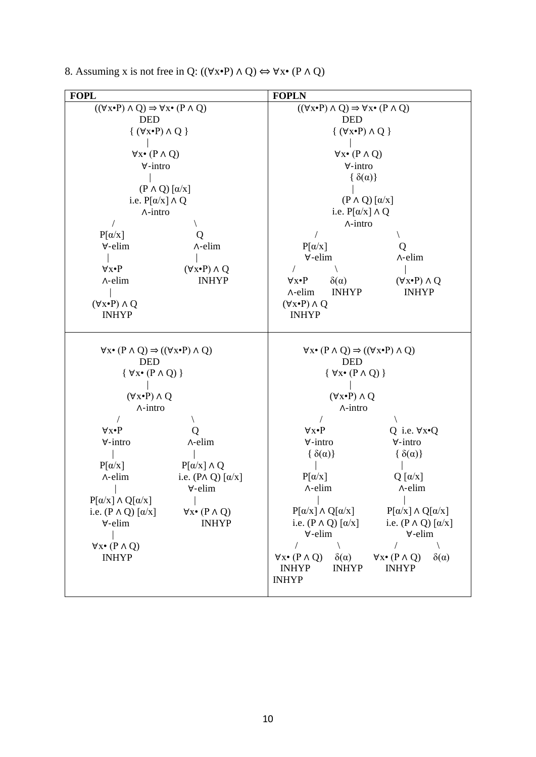| <b>FOPL</b>                                                                                           | <b>FOPLN</b>                                                                                               |  |  |
|-------------------------------------------------------------------------------------------------------|------------------------------------------------------------------------------------------------------------|--|--|
| $((\forall x \cdot P) \land Q) \Rightarrow \forall x \cdot (P \land Q)$                               | $((\forall x \cdot P) \land Q) \Rightarrow \forall x \cdot (P \land Q)$                                    |  |  |
| <b>DED</b>                                                                                            | <b>DED</b>                                                                                                 |  |  |
| $\{ (\forall x \cdot P) \wedge Q \}$                                                                  | $\{ (\forall x \cdot P) \wedge Q \}$                                                                       |  |  |
|                                                                                                       |                                                                                                            |  |  |
| $\forall x \bullet (P \land Q)$                                                                       | $\forall x \bullet (P \land Q)$                                                                            |  |  |
| $\forall$ -intro                                                                                      | $\forall$ -intro                                                                                           |  |  |
|                                                                                                       | $\{\delta(\alpha)\}\$                                                                                      |  |  |
| $(P \wedge Q) [\alpha/x]$                                                                             |                                                                                                            |  |  |
| i.e. $P[\alpha/x] \wedge Q$                                                                           | $(P \wedge Q) [\alpha/x]$                                                                                  |  |  |
| $\wedge$ -intro                                                                                       | i.e. $P[\alpha/x] \wedge Q$                                                                                |  |  |
|                                                                                                       | $\wedge$ -intro                                                                                            |  |  |
| $P[\alpha/x]$<br>Ő                                                                                    |                                                                                                            |  |  |
| $\forall$ -elim<br>$\Lambda$ -elim                                                                    | $P[\alpha/x]$<br>Q                                                                                         |  |  |
|                                                                                                       | $\forall$ -elim<br>$\Lambda$ -elim                                                                         |  |  |
| $(\forall x \cdot P) \wedge Q$<br>$\forall x \bullet P$                                               |                                                                                                            |  |  |
| <b>INHYP</b><br>$\wedge$ -elim                                                                        | $\delta(\alpha)$<br>$(\forall x \cdot P) \wedge Q$<br>$\forall x \cdot P$                                  |  |  |
|                                                                                                       | <b>INHYP</b><br><b>INHYP</b><br>$\wedge$ -elim                                                             |  |  |
| $(\forall x \cdot P) \wedge Q$                                                                        | $(\forall x \cdot P) \wedge Q$                                                                             |  |  |
| <b>INHYP</b>                                                                                          | <b>INHYP</b>                                                                                               |  |  |
|                                                                                                       |                                                                                                            |  |  |
| $\forall x \bullet (P \land Q) \Rightarrow ((\forall x \bullet P) \land Q)$                           | $\forall x \bullet (P \land Q) \Rightarrow ((\forall x \bullet P) \land Q)$                                |  |  |
| <b>DED</b>                                                                                            | <b>DED</b>                                                                                                 |  |  |
| $\{ \forall x \bullet (P \land Q) \}$                                                                 | $\{ \forall x \bullet (P \land Q) \}$                                                                      |  |  |
|                                                                                                       |                                                                                                            |  |  |
| $(\forall x \cdot P) \wedge Q$                                                                        | $(\forall x \cdot P) \wedge Q$                                                                             |  |  |
| $\wedge$ -intro                                                                                       | $\wedge$ -intro                                                                                            |  |  |
|                                                                                                       |                                                                                                            |  |  |
| $\forall x \bullet P$                                                                                 | $\forall x \bullet P$<br>Q i.e. $\forall x \cdot Q$                                                        |  |  |
| $\forall$ -intro<br>$\wedge$ -elim                                                                    | $\forall$ -intro<br>$\forall$ -intro                                                                       |  |  |
|                                                                                                       | $\{\delta(\alpha)\}\$<br>$\{\delta(\alpha)\}\$                                                             |  |  |
| $P[\alpha/x]$<br>$P[\alpha/x] \wedge Q$                                                               |                                                                                                            |  |  |
| i.e. $(P \wedge Q) [\alpha/x]$<br>$\Lambda$ -elim                                                     | $Q [\alpha/x]$<br>$P[\alpha/x]$<br>$\Lambda$ -elim<br>$\Lambda$ -elim                                      |  |  |
| $\Box$<br>$\forall$ -elim                                                                             |                                                                                                            |  |  |
| $P[\alpha/x] \wedge Q[\alpha/x]$<br>i.e. $(P \wedge Q) [\alpha/x]$<br>$\forall x \bullet (P \land Q)$ | $P[\alpha/x] \wedge Q[\alpha/x]$<br>$P[\alpha/x]\wedge Q[\alpha/x]$                                        |  |  |
| <b>INHYP</b><br>$\forall$ -elim                                                                       | i.e. $(P \wedge Q) [\alpha/x]$<br>i.e. $(P \wedge Q) [\alpha/x]$                                           |  |  |
|                                                                                                       | $\forall$ -elim<br>$\forall$ -elim                                                                         |  |  |
| $\forall x \bullet (P \land Q)$                                                                       |                                                                                                            |  |  |
| <b>INHYP</b>                                                                                          | $\delta(\alpha)$<br>$\forall x \bullet (P \land Q)$<br>$\forall x \bullet (P \land Q)$<br>$\delta(\alpha)$ |  |  |
|                                                                                                       | <b>INHYP</b><br><b>INHYP</b><br><b>INHYP</b>                                                               |  |  |
|                                                                                                       | <b>INHYP</b>                                                                                               |  |  |
|                                                                                                       |                                                                                                            |  |  |

8. Assuming x is not free in Q:  $((\forall x \cdot P) \land Q) \Leftrightarrow \forall x \cdot (P \land Q)$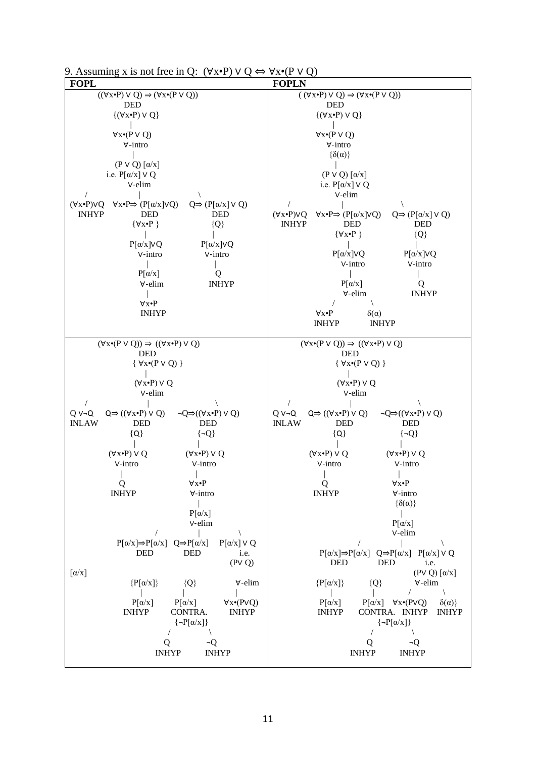| 9. Assuming x is not free in Q: $(\forall x \cdot P) \lor Q \Leftrightarrow \forall x \cdot (P \lor Q)$ |  |  |  |  |
|---------------------------------------------------------------------------------------------------------|--|--|--|--|
|                                                                                                         |  |  |  |  |

| <b>FOPL</b>                                                                                                                    | <b>FOPLN</b>                                                                                                                   |  |  |
|--------------------------------------------------------------------------------------------------------------------------------|--------------------------------------------------------------------------------------------------------------------------------|--|--|
| $((\forall x \cdot P) \vee Q) \Rightarrow (\forall x \cdot (P \vee Q))$                                                        | $((\forall x \cdot P) \vee Q) \Rightarrow (\forall x \cdot (P \vee Q))$                                                        |  |  |
| <b>DED</b>                                                                                                                     | <b>DED</b>                                                                                                                     |  |  |
| $\{(\forall x \cdot P) \vee Q\}$                                                                                               | $\{(\forall x \cdot P) \vee Q\}$                                                                                               |  |  |
| $\forall x \cdot (P \vee Q)$                                                                                                   | $\forall x \cdot (P \vee Q)$                                                                                                   |  |  |
| $\forall$ -intro                                                                                                               | ∀-intro                                                                                                                        |  |  |
|                                                                                                                                | $\{\delta(\alpha)\}\$                                                                                                          |  |  |
| $(P \vee Q) [\alpha/x]$                                                                                                        |                                                                                                                                |  |  |
| i.e. $P[\alpha/x] \vee Q$<br>v-elim                                                                                            | $(P \vee Q) [\alpha/x]$                                                                                                        |  |  |
|                                                                                                                                | i.e. $P[\alpha/x] \vee Q$<br>v-elim                                                                                            |  |  |
| $\forall x \bullet P \Rightarrow (P[\alpha/x] \lor Q)$<br>$Q \Rightarrow (P[\alpha/x] \vee Q)$<br>$(\forall x \cdot P) \vee Q$ | $\sqrt{2}$                                                                                                                     |  |  |
| <b>INHYP</b><br><b>DED</b><br><b>DED</b>                                                                                       | $\forall x \bullet P \Rightarrow (P[\alpha/x] \lor Q)$<br>$Q \Rightarrow (P[\alpha/x] \vee Q)$<br>$(\forall x \cdot P) \vee Q$ |  |  |
| $\{\forall x \bullet P\}$<br>${Q}$                                                                                             | <b>INHYP</b><br><b>DED</b><br><b>DED</b>                                                                                       |  |  |
|                                                                                                                                | ${Q}$<br>$\{\forall x \bullet P\}$                                                                                             |  |  |
| $P[\alpha/x] \vee Q$<br>$P[\alpha/x]VQ$<br>V-intro<br>V-intro                                                                  | $P[\alpha/x]VQ$<br>$P[\alpha/x]VQ$                                                                                             |  |  |
|                                                                                                                                | V-intro<br>V-intro                                                                                                             |  |  |
| $P[\alpha/x]$<br>Q                                                                                                             |                                                                                                                                |  |  |
| $\forall$ -elim<br><b>INHYP</b>                                                                                                | $P[\alpha/x]$<br>Q                                                                                                             |  |  |
|                                                                                                                                | <b>INHYP</b><br>∀-elim                                                                                                         |  |  |
| $\forall x \bullet P$<br><b>INHYP</b>                                                                                          | $\forall x \cdot P$<br>$\delta(\alpha)$                                                                                        |  |  |
|                                                                                                                                | <b>INHYP</b><br><b>INHYP</b>                                                                                                   |  |  |
|                                                                                                                                |                                                                                                                                |  |  |
| $(\forall x \cdot (P \vee Q)) \Rightarrow ((\forall x \cdot P) \vee Q)$                                                        | $(\forall x \cdot (P \vee Q)) \Rightarrow ((\forall x \cdot P) \vee Q)$                                                        |  |  |
| <b>DED</b>                                                                                                                     | <b>DED</b>                                                                                                                     |  |  |
| $\{ \forall x \bullet (P \lor Q) \}$                                                                                           | $\{ \forall x \bullet (P \lor Q) \}$                                                                                           |  |  |
| $(\forall x \cdot P) \vee Q$                                                                                                   | $(\forall x \cdot P) \vee Q$                                                                                                   |  |  |
| v-elim                                                                                                                         | v-elim                                                                                                                         |  |  |
|                                                                                                                                | $\sqrt{2}$                                                                                                                     |  |  |
| $QV\neg Q$<br>$Q \Rightarrow ((\forall x \cdot P) \vee Q)$<br>$\neg Q \Rightarrow ((\forall x \cdot P) \vee Q)$                | $Q \vee \neg Q$<br>$Q \Rightarrow ((\forall x \cdot P) \vee Q)$<br>$\neg Q \Rightarrow ((\forall x \cdot P) \vee Q)$           |  |  |
| <b>INLAW</b><br><b>DED</b><br><b>DED</b>                                                                                       | <b>INLAW</b><br><b>DED</b><br><b>DED</b>                                                                                       |  |  |
| ${Q}$<br>$\{\neg Q\}$                                                                                                          | ${Q}$<br>$\{\neg Q\}$                                                                                                          |  |  |
| $(\forall x \cdot P) \vee Q$<br>$(\forall x \cdot P) \vee Q$                                                                   | $(\forall x \cdot P) \vee Q$<br>$(\forall x \cdot P) \vee Q$                                                                   |  |  |
| V-intro<br>V-intro                                                                                                             | V-intro<br>V-intro                                                                                                             |  |  |
|                                                                                                                                |                                                                                                                                |  |  |
| $\forall x \cdot P$<br>Q                                                                                                       | Q<br>$\forall x \bullet P$                                                                                                     |  |  |
| <b>INHYP</b><br>$\forall$ -intro                                                                                               | <b>INHYP</b><br>∀-intro<br>$\{\delta(\alpha)\}\$                                                                               |  |  |
| $P[\alpha/x]$                                                                                                                  |                                                                                                                                |  |  |
| v-elim                                                                                                                         | $P[\alpha/x]$                                                                                                                  |  |  |
|                                                                                                                                | v-elim                                                                                                                         |  |  |
| $P[\alpha/x] \Rightarrow P[\alpha/x]$ $Q \Rightarrow P[\alpha/x]$<br>$P[\alpha/x]$ $\vee$ Q                                    |                                                                                                                                |  |  |
| <b>DED</b><br><b>DED</b><br>i.e.<br>(PVQ)                                                                                      | $P[\alpha/x] \Rightarrow P[\alpha/x]$ $Q \Rightarrow P[\alpha/x]$ $P[\alpha/x] \vee Q$<br><b>DED</b><br><b>DED</b><br>i.e.     |  |  |
| $\left[\alpha/x\right]$                                                                                                        | $(PV Q) [\alpha/x]$                                                                                                            |  |  |
| $\forall$ -elim<br>$\{P[\alpha/x]\}$<br>${Q}$                                                                                  | $\{P[\alpha/x]\}$<br>∀-elim<br>${Q}$                                                                                           |  |  |
|                                                                                                                                |                                                                                                                                |  |  |
| $P[\alpha/x]$<br>$P[\alpha/x]$<br>$\forall x \cdot (PVQ)$                                                                      | $P[\alpha/x]$<br>$P[\alpha/x]$ $\forall x \cdot (PVQ)$<br>$\delta(\alpha)$                                                     |  |  |
| <b>INHYP</b><br>CONTRA.<br><b>INHYP</b><br>$\left\{ \neg P[\alpha/x] \right\}$                                                 | <b>INHYP</b><br>CONTRA. INHYP<br><b>INHYP</b><br>$\left\{ \neg P[\alpha/x] \right\}$                                           |  |  |
|                                                                                                                                |                                                                                                                                |  |  |
| $\neg Q$<br>Q                                                                                                                  | Q<br>¬Q                                                                                                                        |  |  |
| <b>INHYP</b><br><b>INHYP</b>                                                                                                   | <b>INHYP</b><br><b>INHYP</b>                                                                                                   |  |  |
|                                                                                                                                |                                                                                                                                |  |  |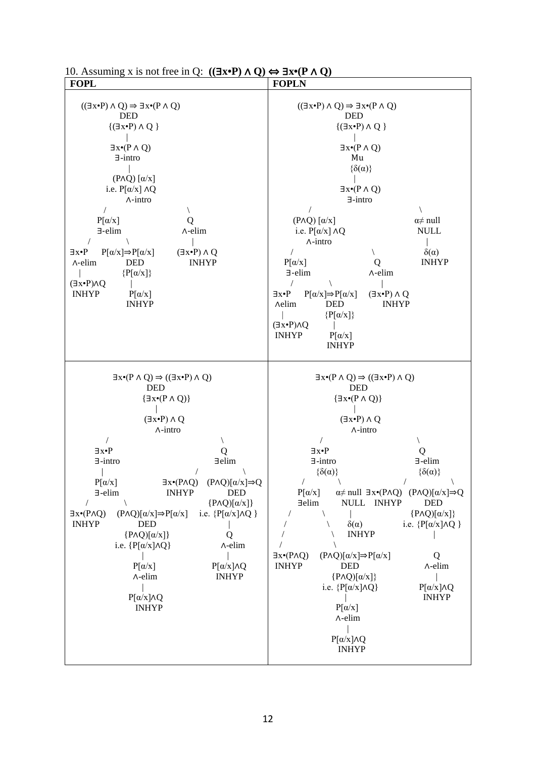| <b>FOPL</b>                                                                                                                                                                                                                                                                                                                                                                                                                                                                                                                                                                                                                                                                                                                                                       | <b>FOPLN</b>                                                                                                                                                                                                                                                                                                                                                                                                                                                                                                                                                                                                                                                                                                                                                                                                                                                                            |  |  |
|-------------------------------------------------------------------------------------------------------------------------------------------------------------------------------------------------------------------------------------------------------------------------------------------------------------------------------------------------------------------------------------------------------------------------------------------------------------------------------------------------------------------------------------------------------------------------------------------------------------------------------------------------------------------------------------------------------------------------------------------------------------------|-----------------------------------------------------------------------------------------------------------------------------------------------------------------------------------------------------------------------------------------------------------------------------------------------------------------------------------------------------------------------------------------------------------------------------------------------------------------------------------------------------------------------------------------------------------------------------------------------------------------------------------------------------------------------------------------------------------------------------------------------------------------------------------------------------------------------------------------------------------------------------------------|--|--|
| $((\exists x \cdot P) \land Q) \Rightarrow \exists x \cdot (P \land Q)$<br><b>DED</b><br>$\{(\exists x \cdot P) \wedge Q\}$<br>$\exists x \cdot (P \land Q)$<br>$\exists$ -intro<br>$(P \wedge Q) [\alpha/x]$<br>i.e. $P[\alpha/x] \wedge Q$<br>$\wedge$ -intro<br>$\overline{1}$<br>$P[\alpha/x]$<br>$\exists$ -elim<br>$\Lambda$ -elim<br>$P[\alpha/x] \Rightarrow P[\alpha/x]$<br>$(\exists x \cdot P) \wedge Q$<br>∃x∙P<br><b>INHYP</b><br><b>DED</b><br>$\wedge$ -elim<br>$\{P[\alpha/x]\}$<br>$(\exists x \cdot P) \land Q$<br><b>INHYP</b><br>$P[\alpha/x]$<br><b>INHYP</b>                                                                                                                                                                                | $((\exists x \cdot P) \land Q) \Rightarrow \exists x \cdot (P \land Q)$<br><b>DED</b><br>$\{(\exists x \cdot P) \wedge Q\}$<br>$\exists x \cdot (P \land Q)$<br>Mu<br>$\{\delta(\alpha)\}\$<br>$\exists x \cdot (P \land Q)$<br>$\exists$ -intro<br>$(P \wedge Q) [\alpha/x]$<br>$\alpha \neq \text{null}$<br>i.e. $P[\alpha/x] \wedge Q$<br><b>NULL</b><br>$\wedge$ -intro<br>$\delta(\alpha)$<br>$P[\alpha/x]$<br><b>INHYP</b><br>Q<br>$\exists$ -elim<br>$\wedge$ -elim<br>$\sqrt{2}$<br>$P[\alpha/x] \Rightarrow P[\alpha/x]$<br>$(\exists x \cdot P) \wedge Q$<br>∃x∙P<br><b>DED</b><br><b>INHYP</b><br><b>Aelim</b><br>$\{P[\alpha/x]\}$<br>$(Jx \cdot P) \wedge Q$<br><b>INHYP</b><br>$P[\alpha/x]$<br><b>INHYP</b>                                                                                                                                                              |  |  |
| $\exists x \cdot (P \land Q) \Rightarrow ((\exists x \cdot P) \land Q)$<br><b>DED</b><br>$\{\exists x \bullet (P \land Q)\}\$<br>$(\exists x \cdot P) \wedge Q$<br>$\wedge$ -intro<br>$\exists x \bullet P$<br>Q<br>∃elim<br>$\exists$ -intro<br>$P[\alpha/x]$<br>$\exists x \cdot (P \land Q)$ $(P \land Q)[\alpha/x] \Rightarrow Q$<br><b>INHYP</b><br>∃-elim<br><b>DED</b><br>${P\wedge Q)[\alpha/x]}$<br>$\exists x \cdot (P \land Q)$<br>$(P \wedge Q)[\alpha/x] \Rightarrow P[\alpha/x]$<br>i.e. $\{P[\alpha/x]\wedge Q\}$<br><b>INHYP</b><br><b>DED</b><br>${P\wedge Q)[\alpha/x]}$<br>Q<br>∧-elim<br>i.e. $\{P[\alpha/x]\wedge Q\}$<br>$P[\alpha/x]\wedge Q$<br>$P[\alpha/x]$<br>$\Lambda$ -elim<br><b>INHYP</b><br>$P[\alpha/x]\wedge Q$<br><b>INHYP</b> | $\exists x \cdot (P \land Q) \Rightarrow ((\exists x \cdot P) \land Q)$<br><b>DED</b><br>$\{\exists x \cdot (P \land Q)\}$<br>$(\exists x \cdot P) \wedge Q$<br>$\wedge$ -intro<br>$\exists x \bullet P$<br>Q<br>$\exists$ -elim<br>$\exists$ -intro<br>$\{\delta(\alpha)\}\$<br>$\{\delta(\alpha)\}\$<br>$P[\alpha/x]$<br>$\alpha \neq \text{null}$ $\exists x \cdot (P \land Q)$ $(P \land Q)[\alpha/x] \Rightarrow Q$<br>$\exists$ elim<br>NULL INHYP<br><b>DED</b><br>${P\wedge Q)[\alpha/x]}$<br>$\delta(\alpha)$<br>i.e. $\{P[\alpha/x]\wedge Q\}$<br><b>INHYP</b><br>$(P \wedge Q)[\alpha/x] \Rightarrow P[\alpha/x]$<br>$\exists x \cdot (P \land Q)$<br>Q<br><b>INHYP</b><br><b>DED</b><br>∧-elim<br>${P\wedge Q)[\alpha/x]}$<br>i.e. $\{P[\alpha/x]\wedge Q\}$<br>$P[\alpha/x] \wedge Q$<br><b>INHYP</b><br>$P[\alpha/x]$<br>∧-elim<br>$P[\alpha/x] \wedge Q$<br><b>INHYP</b> |  |  |

| 10. Assuming x is not free in Q: $((\exists x \cdot P) \land Q) \Leftrightarrow \exists x \cdot (P \land Q)$ |  |
|--------------------------------------------------------------------------------------------------------------|--|
|                                                                                                              |  |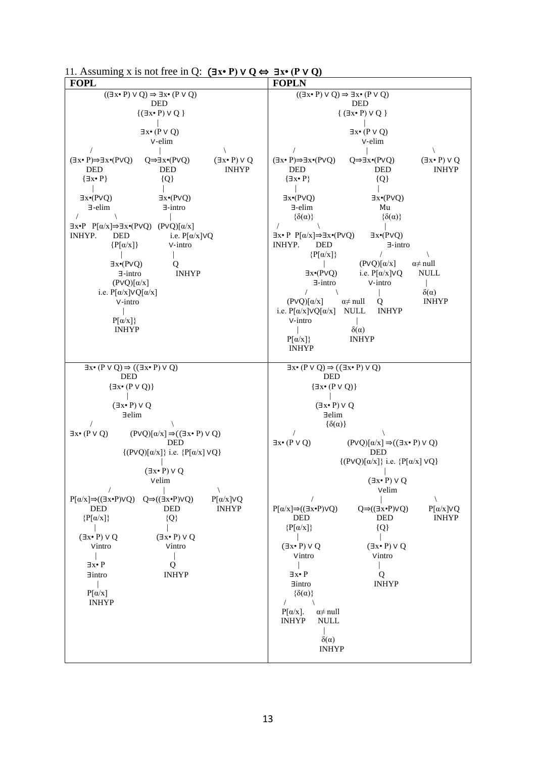| 11. Assuming x is not free in Q: $(\exists x \cdot P) \vee Q \Leftrightarrow \exists x \cdot (P \vee Q)$ |  |  |
|----------------------------------------------------------------------------------------------------------|--|--|
|----------------------------------------------------------------------------------------------------------|--|--|

| 11. 11.00 <b><i>AIIIIII<sub>I</sub></i></b><br>$\mathbf{A}$ to not need in $\mathbf{V}$ .<br>- - -<br><b>FOPL</b>                                                                                                                                                                                                                                                                                                                                                                                                             | $ ($ $\cdot$ $\vee$<br><b>FOPLN</b>                                                                                                                                                                                                                                                                                                                                                                                                                                                                                                         |  |  |
|-------------------------------------------------------------------------------------------------------------------------------------------------------------------------------------------------------------------------------------------------------------------------------------------------------------------------------------------------------------------------------------------------------------------------------------------------------------------------------------------------------------------------------|---------------------------------------------------------------------------------------------------------------------------------------------------------------------------------------------------------------------------------------------------------------------------------------------------------------------------------------------------------------------------------------------------------------------------------------------------------------------------------------------------------------------------------------------|--|--|
| $((\exists x \cdot P) \vee Q) \Rightarrow \exists x \cdot (P \vee Q)$                                                                                                                                                                                                                                                                                                                                                                                                                                                         | $((\exists x \cdot P) \vee Q) \Rightarrow \exists x \cdot (P \vee Q)$                                                                                                                                                                                                                                                                                                                                                                                                                                                                       |  |  |
| <b>DED</b>                                                                                                                                                                                                                                                                                                                                                                                                                                                                                                                    | <b>DED</b>                                                                                                                                                                                                                                                                                                                                                                                                                                                                                                                                  |  |  |
| $\{(\exists x \cdot P) \vee Q\}$                                                                                                                                                                                                                                                                                                                                                                                                                                                                                              | ${ (\exists x \cdot P) \vee Q )}$                                                                                                                                                                                                                                                                                                                                                                                                                                                                                                           |  |  |
| $\exists x \cdot (P \vee Q)$<br>v-elim                                                                                                                                                                                                                                                                                                                                                                                                                                                                                        | $\exists x \cdot (P \vee Q)$<br>v-elim                                                                                                                                                                                                                                                                                                                                                                                                                                                                                                      |  |  |
| $(\exists x \cdot P) \Rightarrow \exists x \cdot (PVQ)$<br>$Q \Rightarrow \exists x \bullet (P \lor Q)$<br>$(\exists x \cdot P) \vee Q$<br><b>INHYP</b><br><b>DED</b><br><b>DED</b><br>${Q}$<br>$\{\exists x \bullet P\}$<br>$\exists x \cdot (PVQ)$<br>$\exists x \cdot (PVQ)$<br>$\exists$ -elim<br>$\exists$ -intro<br>$\exists x \cdot P \quad P[\alpha/x] \Rightarrow \exists x \cdot (P \lor Q) \quad (P \lor Q)[\alpha/x]$<br><b>INHYP.</b><br><b>DED</b><br>i.e. $P[\alpha/x] \vee Q$<br>$\{P[\alpha/x]\}$<br>V-intro | $(\exists x \cdot P) \Rightarrow \exists x \cdot (P \vee Q)$<br>$Q \Rightarrow \exists x \bullet (P \lor Q)$<br>$(\exists x \cdot P) \vee Q$<br><b>INHYP</b><br><b>DED</b><br><b>DED</b><br>${Q}$<br>$\{\exists x \bullet P\}$<br>$\exists x \cdot (PVQ)$<br>$\exists x \cdot (PVQ)$<br>$\exists$ -elim<br>Mu<br>$\{\delta(\alpha)\}\$<br>$\{\delta(\alpha)\}\$<br>$\exists x \bullet P \ P[\alpha/x] \Rightarrow \exists x \bullet (P \lor Q)$<br>$\exists x \cdot (PVQ)$<br>INHYP.<br><b>DED</b><br>$\exists$ -intro<br>$\{P[\alpha/x]\}$ |  |  |
| $\exists x \cdot (PVQ)$<br>Q<br>$\exists$ -intro<br><b>INHYP</b><br>$(PVQ)[\alpha/x]$<br>i.e. $P[\alpha/x] \vee Q[\alpha/x]$<br>V-intro<br>$P[\alpha/x]$<br><b>INHYP</b>                                                                                                                                                                                                                                                                                                                                                      | $(PVQ)[\alpha/x]$<br>$\alpha \neq \text{null}$<br>i.e. $P[\alpha/x]VQ$<br><b>NULL</b><br>$\exists x \cdot (PVQ)$<br>V-intro<br>$\exists$ -intro<br>$\delta(\alpha)$<br>$(PVQ)[\alpha/x]$<br><b>INHYP</b><br>$\alpha \neq \text{null}$<br>Q<br>i.e. $P[\alpha/x] \vee Q[\alpha/x]$<br>NULL<br><b>INHYP</b><br>V-intro<br>$\delta(\alpha)$<br>$P[\alpha/x]\}$<br><b>INHYP</b><br><b>INHYP</b>                                                                                                                                                 |  |  |
| $\exists x \cdot (P \vee Q) \Rightarrow ((\exists x \cdot P) \vee Q)$<br><b>DED</b>                                                                                                                                                                                                                                                                                                                                                                                                                                           | $\exists x \cdot (P \vee Q) \Rightarrow ((\exists x \cdot P) \vee Q)$<br><b>DED</b>                                                                                                                                                                                                                                                                                                                                                                                                                                                         |  |  |
| $\{\exists x \cdot (P \vee Q)\}$                                                                                                                                                                                                                                                                                                                                                                                                                                                                                              | $\{\exists x \cdot (P \vee Q)\}$                                                                                                                                                                                                                                                                                                                                                                                                                                                                                                            |  |  |
| $(\exists x \cdot P) \vee Q$<br>$\exists$ elim<br>$\exists x \bullet (P \lor Q)$<br>$(PVQ)[\alpha/x] \Rightarrow ((\exists x \cdot P) \vee Q)$<br><b>DED</b><br>$\{(PVQ)[\alpha/x]\}\$ i.e. $\{P[\alpha/x] \vee Q\}$<br>$(\exists x \cdot P) \vee Q$                                                                                                                                                                                                                                                                          | $(\exists x \cdot P) \vee Q$<br>∃elim<br>$\{\delta(\alpha)\}\$<br>$\exists x \bullet (P \lor Q)$<br>$(PVQ)[\alpha/x] \Rightarrow ((\exists x \cdot P) \vee Q)$<br><b>DED</b><br>$\{ (PVQ)[\alpha/x] \}$ i.e. $\{ P[\alpha/x] VQ \}$                                                                                                                                                                                                                                                                                                         |  |  |
| Velim                                                                                                                                                                                                                                                                                                                                                                                                                                                                                                                         | $(\exists x \cdot P) \vee Q$<br>Velim                                                                                                                                                                                                                                                                                                                                                                                                                                                                                                       |  |  |
| $Q \Rightarrow ((\exists x \cdot P) \lor Q)$<br>$P[\alpha/x] \Rightarrow ((\exists x \cdot P) \vee Q)$<br>$P[\alpha/x]VQ$<br><b>DED</b><br><b>INHYP</b><br><b>DED</b><br>$\{P[\alpha/x]\}$<br>${Q}$<br>$(\exists x \cdot P) \vee Q$<br>$(\exists x \cdot P) \vee Q$<br>Vintro<br>Vintro<br>$\exists x \bullet P$<br>О<br>$\exists$ intro<br><b>INHYP</b><br>$P[\alpha/x]$<br><b>INHYP</b>                                                                                                                                     | $P[\alpha/x] \Rightarrow ((\exists x \cdot P) \vee Q)$<br>$P[\alpha/x]VQ$<br>$Q \Rightarrow ((\exists x \cdot P) \lor Q)$<br><b>DED</b><br><b>DED</b><br><b>INHYP</b><br>$\{P[\alpha/x]\}$<br>${Q}$<br>$(\exists x \cdot P) \vee Q$<br>$(\exists x \cdot P) \vee Q$<br>Vintro<br>Vintro<br>$\exists x \bullet P$<br>Q<br><b>INHYP</b><br>$\exists$ intro<br>$\{\delta(\alpha)\}\$<br>$\sqrt{2}$<br>$P[\alpha/x]$ .<br>$\alpha \neq \text{null}$<br><b>INHYP</b><br><b>NULL</b><br>$\delta(\alpha)$<br><b>INHYP</b>                          |  |  |
|                                                                                                                                                                                                                                                                                                                                                                                                                                                                                                                               |                                                                                                                                                                                                                                                                                                                                                                                                                                                                                                                                             |  |  |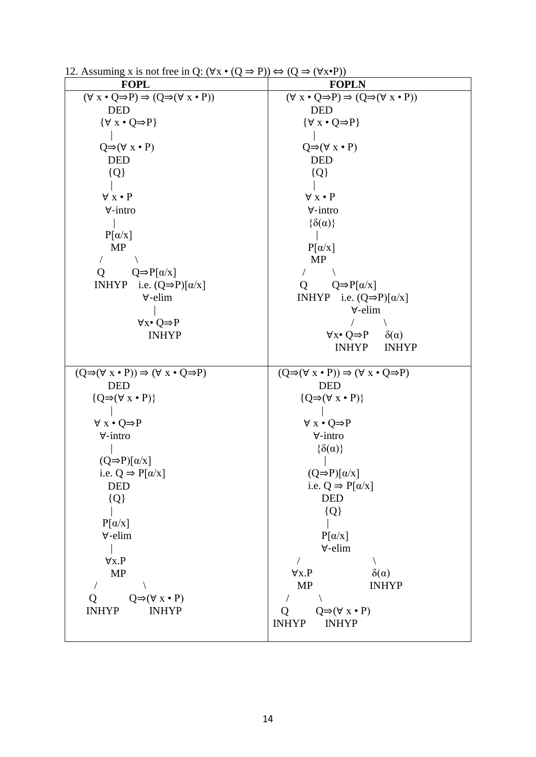| 12. Assuming x is not free in Q. (vx $\bullet$ (Q $\rightarrow$ r)) $\leftrightarrow$ (Q $\rightarrow$ (vx $\bullet$ r)) |                                                                                     |
|--------------------------------------------------------------------------------------------------------------------------|-------------------------------------------------------------------------------------|
| <b>FOPL</b>                                                                                                              | <b>FOPLN</b>                                                                        |
| $(\forall x \cdot Q \Rightarrow P) \Rightarrow (Q \Rightarrow (\forall x \cdot P))$                                      | $(\forall x \cdot Q \Rightarrow P) \Rightarrow (Q \Rightarrow (\forall x \cdot P))$ |
| <b>DED</b>                                                                                                               | <b>DED</b>                                                                          |
| $\{\forall x \cdot Q \Rightarrow P\}$                                                                                    | $\{\forall x \cdot Q \Rightarrow P\}$                                               |
|                                                                                                                          |                                                                                     |
| $Q \Rightarrow (\forall x \cdot P)$                                                                                      | $Q \Rightarrow (\forall x \cdot P)$                                                 |
| <b>DED</b>                                                                                                               | <b>DED</b>                                                                          |
| ${Q}$                                                                                                                    | ${Q}$                                                                               |
|                                                                                                                          |                                                                                     |
| $\forall x \cdot P$                                                                                                      | $\forall x \cdot P$                                                                 |
| $\forall$ -intro                                                                                                         | $\forall$ -intro                                                                    |
|                                                                                                                          | $\{\delta(\alpha)\}\$                                                               |
| $P[\alpha/x]$                                                                                                            |                                                                                     |
| <b>MP</b>                                                                                                                | $P[\alpha/x]$                                                                       |
|                                                                                                                          | <b>MP</b>                                                                           |
| $Q \Rightarrow P[\alpha/x]$                                                                                              |                                                                                     |
| Q<br><b>INHYP</b><br>i.e. $(Q \Rightarrow P)[\alpha/x]$                                                                  | $Q \Rightarrow P[\alpha/x]$                                                         |
| $\forall$ -elim                                                                                                          | Ő                                                                                   |
|                                                                                                                          | INHYP i.e. $(Q \Rightarrow P)[\alpha/x]$<br>∀-elim                                  |
|                                                                                                                          |                                                                                     |
| $\forall x \bullet Q \Rightarrow P$                                                                                      |                                                                                     |
| <b>INHYP</b>                                                                                                             | $\forall x \bullet Q \Rightarrow P$<br>$\delta(\alpha)$                             |
|                                                                                                                          | <b>INHYP</b><br><b>INHYP</b>                                                        |
| $(Q \Rightarrow (\forall x \cdot P)) \Rightarrow (\forall x \cdot Q \Rightarrow P)$                                      | $(Q \Rightarrow (\forall x \cdot P)) \Rightarrow (\forall x \cdot Q \Rightarrow P)$ |
|                                                                                                                          |                                                                                     |
|                                                                                                                          |                                                                                     |
| <b>DED</b>                                                                                                               | <b>DED</b>                                                                          |
| $\{Q \Rightarrow (\forall x \cdot P)\}\$                                                                                 | $\{Q \Rightarrow (\forall x \cdot P)\}\$                                            |
|                                                                                                                          |                                                                                     |
| $\forall x \cdot Q \Rightarrow P$                                                                                        | $\forall x \cdot Q \Rightarrow P$                                                   |
| $\forall$ -intro                                                                                                         | $\forall$ -intro                                                                    |
|                                                                                                                          | $\{\delta(\alpha)\}\$                                                               |
| $(Q \Rightarrow P)[\alpha/x]$                                                                                            |                                                                                     |
| i.e. $Q \Rightarrow P[\alpha/x]$                                                                                         | $(Q \Rightarrow P)[\alpha/x]$                                                       |
| <b>DED</b>                                                                                                               | i.e. $Q \Rightarrow P[\alpha/x]$                                                    |
| ${Q}$                                                                                                                    | <b>DED</b>                                                                          |
|                                                                                                                          | ${Q}$                                                                               |
| $P[\alpha/x]$                                                                                                            |                                                                                     |
| ∀-elim                                                                                                                   | $P[\alpha/x]$                                                                       |
|                                                                                                                          | $\forall$ -elim                                                                     |
| $\forall x.P$                                                                                                            |                                                                                     |
| <b>MP</b>                                                                                                                | $\delta(\alpha)$<br>$\forall x.P$                                                   |
|                                                                                                                          | MP<br><b>INHYP</b>                                                                  |
| $Q \Rightarrow (\forall x \cdot P)$<br>Q                                                                                 |                                                                                     |
| <b>INHYP</b><br><b>INHYP</b>                                                                                             | $Q \Rightarrow (\forall x \cdot P)$<br>Q                                            |
|                                                                                                                          | <b>INHYP</b><br><b>INHYP</b>                                                        |

12. Assuming x is not free in Q:  $(\forall x \cdot (0 \Rightarrow P)) \Leftrightarrow (0 \Rightarrow (\forall x \cdot P))$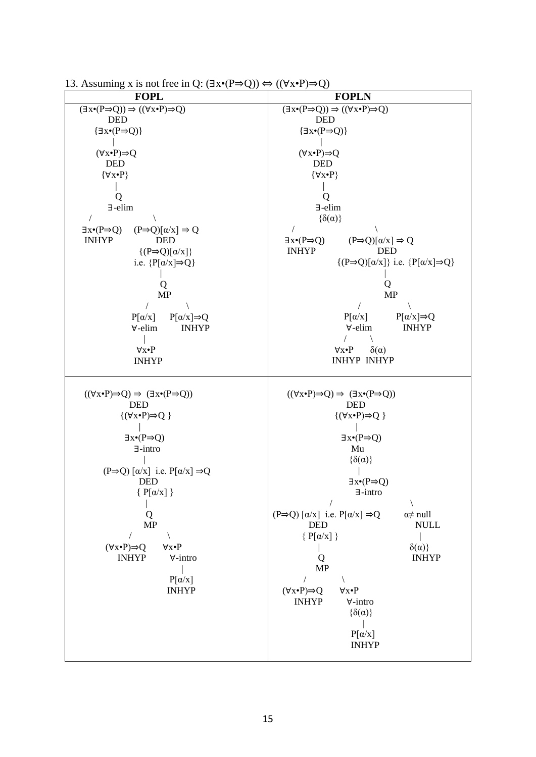| <b>FOPL</b>                                                                                                                                                                                                                                                                                                                                                                                                                                                                        | <b>FOPLN</b>                                                                                                                                                                                                                                                                                                                                                                                                                                                                                                                                                                                                                       |  |  |
|------------------------------------------------------------------------------------------------------------------------------------------------------------------------------------------------------------------------------------------------------------------------------------------------------------------------------------------------------------------------------------------------------------------------------------------------------------------------------------|------------------------------------------------------------------------------------------------------------------------------------------------------------------------------------------------------------------------------------------------------------------------------------------------------------------------------------------------------------------------------------------------------------------------------------------------------------------------------------------------------------------------------------------------------------------------------------------------------------------------------------|--|--|
| $(\exists x \cdot (P \Rightarrow Q)) \Rightarrow ((\forall x \cdot P) \Rightarrow Q)$                                                                                                                                                                                                                                                                                                                                                                                              | $(\exists x \cdot (P \Rightarrow Q)) \Rightarrow ((\forall x \cdot P) \Rightarrow Q)$                                                                                                                                                                                                                                                                                                                                                                                                                                                                                                                                              |  |  |
| <b>DED</b>                                                                                                                                                                                                                                                                                                                                                                                                                                                                         | <b>DED</b>                                                                                                                                                                                                                                                                                                                                                                                                                                                                                                                                                                                                                         |  |  |
| $\{\exists x \bullet (P \Rightarrow Q)\}$                                                                                                                                                                                                                                                                                                                                                                                                                                          | $\{\exists x \bullet (P \Rightarrow Q)\}$                                                                                                                                                                                                                                                                                                                                                                                                                                                                                                                                                                                          |  |  |
|                                                                                                                                                                                                                                                                                                                                                                                                                                                                                    |                                                                                                                                                                                                                                                                                                                                                                                                                                                                                                                                                                                                                                    |  |  |
| $(\forall x \cdot P) \Rightarrow Q$<br><b>DED</b>                                                                                                                                                                                                                                                                                                                                                                                                                                  | $(\forall x \cdot P) \Rightarrow Q$<br><b>DED</b>                                                                                                                                                                                                                                                                                                                                                                                                                                                                                                                                                                                  |  |  |
| $\{\forall x \bullet P\}$                                                                                                                                                                                                                                                                                                                                                                                                                                                          | $\{\forall x \bullet P\}$                                                                                                                                                                                                                                                                                                                                                                                                                                                                                                                                                                                                          |  |  |
|                                                                                                                                                                                                                                                                                                                                                                                                                                                                                    |                                                                                                                                                                                                                                                                                                                                                                                                                                                                                                                                                                                                                                    |  |  |
| Q                                                                                                                                                                                                                                                                                                                                                                                                                                                                                  | Q                                                                                                                                                                                                                                                                                                                                                                                                                                                                                                                                                                                                                                  |  |  |
| $\exists$ -elim                                                                                                                                                                                                                                                                                                                                                                                                                                                                    | ∃-elim                                                                                                                                                                                                                                                                                                                                                                                                                                                                                                                                                                                                                             |  |  |
| $\overline{1}$                                                                                                                                                                                                                                                                                                                                                                                                                                                                     | $\{\delta(\alpha)\}\$                                                                                                                                                                                                                                                                                                                                                                                                                                                                                                                                                                                                              |  |  |
| $\exists x \cdot (P \Rightarrow Q)$<br>$(P\Rightarrow Q)[\alpha/x] \Rightarrow Q$                                                                                                                                                                                                                                                                                                                                                                                                  | $\sqrt{2}$                                                                                                                                                                                                                                                                                                                                                                                                                                                                                                                                                                                                                         |  |  |
| <b>INHYP</b><br><b>DED</b>                                                                                                                                                                                                                                                                                                                                                                                                                                                         | $\exists x \cdot (P \Rightarrow Q)$<br>$(P\Rightarrow Q)[\alpha/x] \Rightarrow Q$                                                                                                                                                                                                                                                                                                                                                                                                                                                                                                                                                  |  |  |
| $\{(P\Rightarrow Q)[\alpha/x]\}$                                                                                                                                                                                                                                                                                                                                                                                                                                                   | <b>INHYP</b><br><b>DED</b>                                                                                                                                                                                                                                                                                                                                                                                                                                                                                                                                                                                                         |  |  |
| i.e. $\{P[\alpha/x] \Rightarrow Q\}$                                                                                                                                                                                                                                                                                                                                                                                                                                               | $\{(P\Rightarrow Q)[\alpha/x]\}\$ i.e. $\{P[\alpha/x]\Rightarrow Q\}$                                                                                                                                                                                                                                                                                                                                                                                                                                                                                                                                                              |  |  |
|                                                                                                                                                                                                                                                                                                                                                                                                                                                                                    |                                                                                                                                                                                                                                                                                                                                                                                                                                                                                                                                                                                                                                    |  |  |
| Ő<br><b>MP</b>                                                                                                                                                                                                                                                                                                                                                                                                                                                                     | Q<br><b>MP</b>                                                                                                                                                                                                                                                                                                                                                                                                                                                                                                                                                                                                                     |  |  |
|                                                                                                                                                                                                                                                                                                                                                                                                                                                                                    |                                                                                                                                                                                                                                                                                                                                                                                                                                                                                                                                                                                                                                    |  |  |
| $P[\alpha/x]$<br>$P[\alpha/x] \Rightarrow Q$                                                                                                                                                                                                                                                                                                                                                                                                                                       | $P[\alpha/x]$<br>$P[\alpha/x] \Rightarrow Q$                                                                                                                                                                                                                                                                                                                                                                                                                                                                                                                                                                                       |  |  |
| ∀-elim<br><b>INHYP</b>                                                                                                                                                                                                                                                                                                                                                                                                                                                             | <b>INHYP</b><br>∀-elim                                                                                                                                                                                                                                                                                                                                                                                                                                                                                                                                                                                                             |  |  |
|                                                                                                                                                                                                                                                                                                                                                                                                                                                                                    |                                                                                                                                                                                                                                                                                                                                                                                                                                                                                                                                                                                                                                    |  |  |
| $\forall x \bullet P$                                                                                                                                                                                                                                                                                                                                                                                                                                                              | $\forall x \bullet P$<br>$\delta(\alpha)$                                                                                                                                                                                                                                                                                                                                                                                                                                                                                                                                                                                          |  |  |
| <b>INHYP</b>                                                                                                                                                                                                                                                                                                                                                                                                                                                                       | <b>INHYP INHYP</b>                                                                                                                                                                                                                                                                                                                                                                                                                                                                                                                                                                                                                 |  |  |
| $((\forall x \cdot P) \Rightarrow Q) \Rightarrow (\exists x \cdot (P \Rightarrow Q))$<br><b>DED</b><br>$\{(\forall x \cdot P) \Rightarrow Q \}$<br>$\exists x \cdot (P \Rightarrow Q)$<br>$\exists$ -intro<br>$(P\Rightarrow Q) [\alpha/x]$ i.e. $P[\alpha/x] \Rightarrow Q$<br><b>DED</b><br>${P[\alpha/x]}$<br>Q<br><b>MP</b><br>$\sqrt{2}$<br>$(\forall x \cdot P) \Rightarrow Q$<br>$\forall x \bullet P$<br><b>INHYP</b><br>$\forall$ -intro<br>$P[\alpha/x]$<br><b>INHYP</b> | $((\forall x \cdot P) \Rightarrow Q) \Rightarrow (\exists x \cdot (P \Rightarrow Q))$<br><b>DED</b><br>$\{(\forall x \cdot P) \Rightarrow Q\}$<br>$\exists x \cdot (P \Rightarrow Q)$<br>Mu<br>$\{\delta(\alpha)\}\$<br>$\exists x \bullet (P \Rightarrow Q)$<br>$\exists$ -intro<br>$(P\Rightarrow Q) [\alpha/x]$ i.e. $P[\alpha/x] \Rightarrow Q$<br>$\alpha \neq \text{null}$<br><b>NULL</b><br><b>DED</b><br>$\{P[\alpha/x]\}$<br>$\delta(\alpha)$<br><b>INHYP</b><br>Q<br><b>MP</b><br>T<br>$(\forall x \cdot P) \Rightarrow Q$<br>$\forall x \bullet P$<br><b>INHYP</b><br>∀-intro<br>$\{\delta(\alpha)\}\$<br>$P[\alpha/x]$ |  |  |
|                                                                                                                                                                                                                                                                                                                                                                                                                                                                                    | <b>INHYP</b>                                                                                                                                                                                                                                                                                                                                                                                                                                                                                                                                                                                                                       |  |  |

13. Assuming x is not free in Q:  $(\exists x \cdot (P \Rightarrow Q)) \Leftrightarrow ((\forall x \cdot P) \Rightarrow Q)$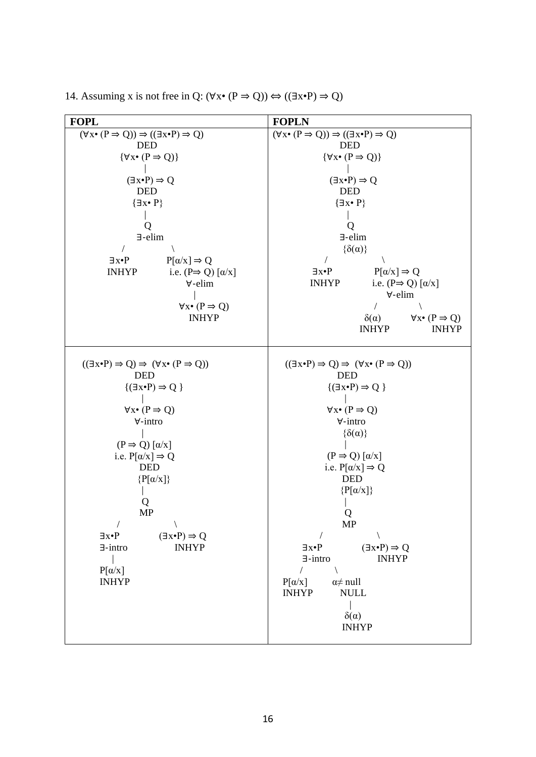| <b>FOPL</b>                                                                                                                                                                                                                                                                                                                                                                                                                                                                 | <b>FOPLN</b>                                                                                                                                                                                                                                                                                                                                                                                                                                                                                                                                                                                |
|-----------------------------------------------------------------------------------------------------------------------------------------------------------------------------------------------------------------------------------------------------------------------------------------------------------------------------------------------------------------------------------------------------------------------------------------------------------------------------|---------------------------------------------------------------------------------------------------------------------------------------------------------------------------------------------------------------------------------------------------------------------------------------------------------------------------------------------------------------------------------------------------------------------------------------------------------------------------------------------------------------------------------------------------------------------------------------------|
| $(\forall x \cdot (P \Rightarrow Q)) \Rightarrow ((\exists x \cdot P) \Rightarrow Q)$<br><b>DED</b><br>$\{\forall x \bullet (P \Rightarrow Q)\}\$<br>$(\exists x \cdot P) \Rightarrow Q$<br><b>DED</b><br>$\{\exists x \bullet P\}$<br>Q<br>$\exists$ -elim<br>$P[\alpha/x] \Rightarrow Q$<br>$\exists x \bullet P$<br>i.e. $(P \Rightarrow Q) [\alpha/x]$<br><b>INHYP</b><br>$\forall$ -elim<br>$\forall x \bullet (P \Rightarrow Q)$<br><b>INHYP</b>                      | $(\forall x \cdot (P \Rightarrow Q)) \Rightarrow ((\exists x \cdot P) \Rightarrow Q)$<br><b>DED</b><br>$\{\forall x \bullet (P \Rightarrow Q)\}\$<br>$(\exists x \cdot P) \Rightarrow Q$<br><b>DED</b><br>$\{\exists x \bullet P\}$<br>Q<br>$\exists$ -elim<br>$\{\delta(\alpha)\}\$<br>$P[\alpha/x] \Rightarrow Q$<br>$\exists x \bullet P$<br>i.e. $(P \Rightarrow Q) [\alpha/x]$<br><b>INHYP</b><br>∀-elim<br>$\sqrt{2}$<br>$\forall x \bullet (P \Rightarrow Q)$<br>$\delta(\alpha)$                                                                                                    |
|                                                                                                                                                                                                                                                                                                                                                                                                                                                                             | <b>INHYP</b><br><b>INHYP</b>                                                                                                                                                                                                                                                                                                                                                                                                                                                                                                                                                                |
| $((\exists x \cdot P) \Rightarrow Q) \Rightarrow (\forall x \cdot (P \Rightarrow Q))$<br><b>DED</b><br>$\{(\exists x \cdot P) \Rightarrow Q\}$<br>$\forall x \bullet (P \Rightarrow Q)$<br>$\forall$ -intro<br>$(P \Rightarrow Q) [\alpha/x]$<br>i.e. $P[\alpha/x] \Rightarrow Q$<br><b>DED</b><br>$\{P[\alpha/x]\}$<br>Q<br><b>MP</b><br>$\exists x \bullet P$<br>$(\exists x \cdot P) \Rightarrow Q$<br><b>INHYP</b><br>$\exists$ -intro<br>$P[\alpha/x]$<br><b>INHYP</b> | $((\exists x \cdot P) \Rightarrow Q) \Rightarrow (\forall x \cdot (P \Rightarrow Q))$<br><b>DED</b><br>$\{(\exists x \cdot P) \Rightarrow Q\}$<br>$\forall x \bullet (P \Rightarrow Q)$<br>$\forall$ -intro<br>$\{\delta(\alpha)\}\$<br>$(P \Rightarrow Q) [\alpha/x]$<br>i.e. $P[\alpha/x] \Rightarrow Q$<br><b>DED</b><br>$\{P[\alpha/x]\}$<br>О<br>MP<br>$(\exists x \cdot P) \Rightarrow Q$<br>$\exists x \bullet P$<br>$\exists$ -intro<br><b>INHYP</b><br>$\sqrt{2}$<br>$P[\alpha/x]$<br>$\alpha \neq \text{null}$<br><b>INHYP</b><br><b>NULL</b><br>$\delta(\alpha)$<br><b>INHYP</b> |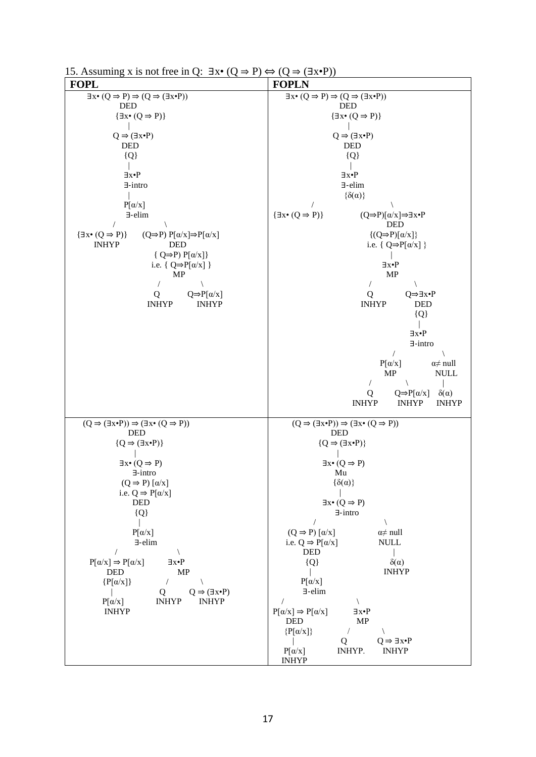| <b>FOPL</b>                                                                                           | <b>FOPLN</b>                                                                                                      |
|-------------------------------------------------------------------------------------------------------|-------------------------------------------------------------------------------------------------------------------|
| $\exists x \cdot (Q \Rightarrow P) \Rightarrow (Q \Rightarrow (\exists x \cdot P))$                   | $\exists x \bullet (Q \Rightarrow P) \Rightarrow (Q \Rightarrow (\exists x \bullet P))$                           |
| DED<br>$\{\exists x \bullet (Q \Rightarrow P)\}\$                                                     | <b>DED</b><br>$\{\exists x \bullet (Q \Rightarrow P)\}\$                                                          |
|                                                                                                       |                                                                                                                   |
| $Q \Rightarrow (\exists x \cdot P)$<br><b>DED</b>                                                     | $Q \Rightarrow (\exists x \cdot P)$<br><b>DED</b>                                                                 |
| ${Q}$                                                                                                 | ${Q}$                                                                                                             |
|                                                                                                       |                                                                                                                   |
| $\exists x \cdot P$<br>$\exists$ -intro                                                               | ∃x∙P<br>∃-elim                                                                                                    |
|                                                                                                       | $\{\delta(\alpha)\}\$                                                                                             |
| $P[\alpha/x]$                                                                                         |                                                                                                                   |
| $\exists$ -elim<br>$\sqrt{2}$                                                                         | $\{\exists x \bullet (Q \Rightarrow P)\}\$<br>$(Q\Rightarrow P)[α/x] \Rightarrow \exists x \cdot P$<br><b>DED</b> |
| $\{\exists x \bullet (Q \Rightarrow P)\}\$<br>$(Q \Rightarrow P) P[\alpha/x] \Rightarrow P[\alpha/x]$ | $\{(Q \Rightarrow P)[\alpha/x]\}$                                                                                 |
| <b>INHYP</b><br><b>DED</b><br>$\{ Q \Rightarrow P \} P[\alpha/x]$                                     | i.e. { $Q \Rightarrow P[\alpha/x]$ }                                                                              |
| i.e. { $Q \Rightarrow P[\alpha/x]$ }                                                                  | ∃x•P                                                                                                              |
| MP                                                                                                    | MP                                                                                                                |
| $\overline{1}$<br>$\sqrt{2}$<br>$Q \Rightarrow P[\alpha/x]$<br>Q                                      | $\setminus$<br>$\sqrt{2}$<br>Q⇒∃x•P<br>Q                                                                          |
| <b>INHYP</b><br><b>INHYP</b>                                                                          | <b>INHYP</b><br>DED                                                                                               |
|                                                                                                       | ${Q}$                                                                                                             |
|                                                                                                       | ∃x∙P                                                                                                              |
|                                                                                                       | $\exists$ -intro                                                                                                  |
|                                                                                                       | $P[\alpha/x]$<br>$\alpha \neq \text{null}$                                                                        |
|                                                                                                       | MP<br><b>NULL</b>                                                                                                 |
|                                                                                                       | $\sqrt{2}$<br>$\overline{\phantom{a}}$<br>$Q \Rightarrow P[\alpha/x]$<br>$\delta(\alpha)$<br>Q                    |
|                                                                                                       | <b>INHYP</b><br><b>INHYP</b><br><b>INHYP</b>                                                                      |
| $(Q \Rightarrow (\exists x \cdot P)) \Rightarrow (\exists x \cdot (Q \Rightarrow P))$                 | $(Q \Rightarrow (\exists x \cdot P)) \Rightarrow (\exists x \cdot (Q \Rightarrow P))$                             |
| <b>DED</b>                                                                                            | DED                                                                                                               |
| ${Q \Rightarrow (\exists x \cdot P)}$                                                                 | ${Q \Rightarrow (\exists x \cdot P)}$                                                                             |
| $\exists x \bullet (Q \Rightarrow P)$                                                                 | $\exists x \bullet (Q \Rightarrow P)$                                                                             |
| $\exists$ -intro                                                                                      | Mu                                                                                                                |
| $(Q \Rightarrow P) [\alpha/x]$<br>i.e. $Q \Rightarrow P[\alpha/x]$                                    | $\{\delta(\alpha)\}$                                                                                              |
| <b>DED</b>                                                                                            | $\exists x \bullet (Q \Rightarrow P)$                                                                             |
| $\{Q\}$                                                                                               | $\exists$ -intro                                                                                                  |
| $P[\alpha/x]$                                                                                         | $(Q \Rightarrow P) [\alpha/x]$<br>$\alpha \neq \text{null}$                                                       |
| $\exists$ -elim<br>$\prime$                                                                           | i.e. $Q \Rightarrow P[\alpha/x]$<br><b>NULL</b><br>$\ensuremath{\mathsf{DED}}$                                    |
| $P[\alpha/x] \Rightarrow P[\alpha/x]$<br>$\exists x \bullet P$                                        | $\delta(\alpha)$<br>${Q}$                                                                                         |
| $\ensuremath{\mathsf{DED}}$<br>MP                                                                     | <b>INHYP</b>                                                                                                      |
| $\{P[\alpha/x]\}$<br>$\sqrt{2}$<br>$Q \Rightarrow (\exists x \cdot P)$<br>Q                           | $P[\alpha/x]$<br>$\exists$ -elim                                                                                  |
| $P[\alpha/x]$<br><b>INHYP</b><br><b>INHYP</b>                                                         | $\sqrt{2}$                                                                                                        |
| <b>INHYP</b>                                                                                          | $P[\alpha/x] \Rightarrow P[\alpha/x]$<br>$\exists x \bullet P$<br>DED<br>MP                                       |
|                                                                                                       | $\{P[\alpha/x]\}$                                                                                                 |
|                                                                                                       | Q<br>$Q \Rightarrow \exists x \bullet P$                                                                          |
|                                                                                                       | $P[\alpha/x]$<br>INHYP.<br><b>INHYP</b><br><b>INHYP</b>                                                           |

15. Assuming x is not free in Q:  $\exists x \bullet (Q \Rightarrow P) \Leftrightarrow (Q \Rightarrow (\exists x \bullet P))$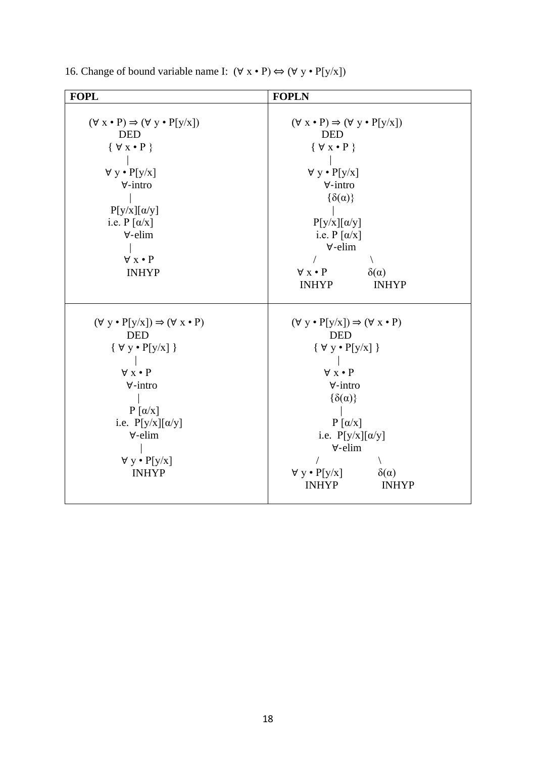| <b>FOPL</b>                                                                                                                                                                                                                                                   | <b>FOPLN</b>                                                                                                                                                                                                                                                                                                                          |
|---------------------------------------------------------------------------------------------------------------------------------------------------------------------------------------------------------------------------------------------------------------|---------------------------------------------------------------------------------------------------------------------------------------------------------------------------------------------------------------------------------------------------------------------------------------------------------------------------------------|
| $(\forall x \cdot P) \Rightarrow (\forall y \cdot P[y/x])$<br><b>DED</b><br>$\{ \forall x \bullet P \}$<br>$\forall y \cdot P[y/x]$<br>$\forall$ -intro<br>$P[y/x][\alpha/y]$<br>i.e. $P[\alpha/x]$<br>$\forall$ -elim<br>$\forall x \cdot P$<br><b>INHYP</b> | $(\forall x \cdot P) \Rightarrow (\forall y \cdot P[y/x])$<br><b>DED</b><br>$\{ \forall x \bullet P \}$<br>$\forall y \cdot P[y/x]$<br>$\forall$ -intro<br>$\{\delta(\alpha)\}\$<br>$P[y/x][\alpha/y]$<br>i.e. $P [\alpha/x]$<br>$\forall$ -elim<br>$\forall x \bullet P$<br>$\delta(\alpha)$<br><b>INHYP</b><br><b>INHYP</b>         |
| $(\forall y \cdot P[y/x]) \Rightarrow (\forall x \cdot P)$<br><b>DED</b><br>$\{ \forall y \cdot P[y/x] \}$<br>$\forall x \cdot P$<br>$\forall$ -intro<br>$P[\alpha/x]$<br>i.e. $P[y/x][\alpha/y]$<br>∀-elim<br>$\forall y \cdot P[y/x]$<br><b>INHYP</b>       | $(\forall y \cdot P[y/x]) \Rightarrow (\forall x \cdot P)$<br><b>DED</b><br>$\{ \ \forall \ y \bullet P[y/x] \ \}$<br>$\forall x \cdot P$<br>$\forall$ -intro<br>$\{\delta(\alpha)\}\$<br>$P[\alpha/x]$<br>i.e. $P[y/x][\alpha/y]$<br>$\forall$ -elim<br>$\forall y \cdot P[y/x]$<br>$\delta(\alpha)$<br><b>INHYP</b><br><b>INHYP</b> |

16. Change of bound variable name I:  $(\forall x \cdot P) \Leftrightarrow (\forall y \cdot P[y/x])$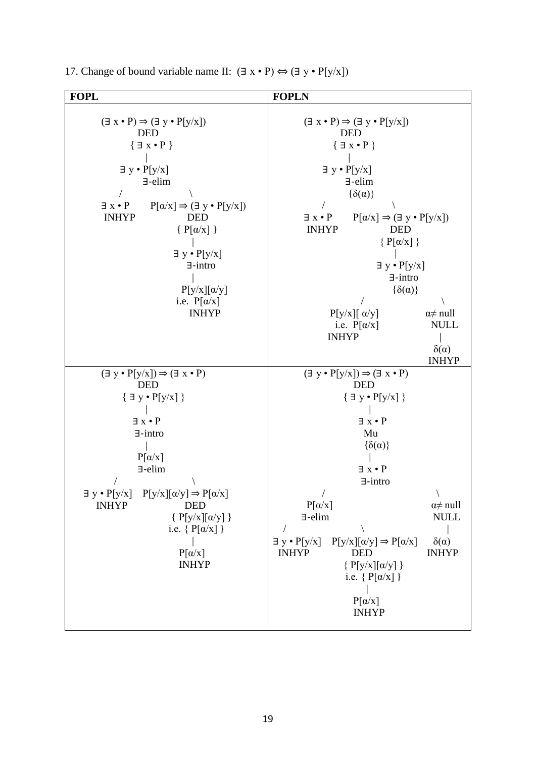| <b>FOPL</b>                                                                                                                                                                                                                                                                                                                                                                                    | <b>FOPLN</b>                                                                                                                                                                                                                                                                                                                                                                                                                                                                                                                     |
|------------------------------------------------------------------------------------------------------------------------------------------------------------------------------------------------------------------------------------------------------------------------------------------------------------------------------------------------------------------------------------------------|----------------------------------------------------------------------------------------------------------------------------------------------------------------------------------------------------------------------------------------------------------------------------------------------------------------------------------------------------------------------------------------------------------------------------------------------------------------------------------------------------------------------------------|
| $(\exists x \cdot P) \Rightarrow (\exists y \cdot P[y/x])$<br><b>DED</b><br>${ \exists x \cdot P }$<br>$\exists y \cdot P[y/x]$<br>$\exists$ -elim<br>$P[\alpha/x] \Rightarrow (\exists y \cdot P[y/x])$<br>$\exists x \cdot P$<br><b>INHYP</b><br><b>DED</b><br>$\{P[\alpha/x]\}$<br>$\exists y \cdot P[y/x]$<br>$\exists$ -intro<br>$P[y/x][\alpha/y]$<br>i.e. $P[\alpha/x]$<br><b>INHYP</b> | $(\exists x \cdot P) \Rightarrow (\exists y \cdot P[y/x])$<br><b>DED</b><br>$\{\exists x \cdot P\}$<br>$\exists y \cdot P[y/x]$<br>$\exists$ -elim<br>$\{\delta(\alpha)\}\$<br>$P[\alpha/x] \Rightarrow (\exists y \cdot P[y/x])$<br>$\exists x \cdot P$<br><b>INHYP</b><br><b>DED</b><br>$\{P[\alpha/x]\}$<br>$\exists y \cdot P[y/x]$<br>$\exists$ -intro<br>$\{\delta(\alpha)\}\$<br>$P[y/x][\alpha/y]$<br>$\alpha \neq \text{null}$<br><b>NULL</b><br>i.e. $P[\alpha/x]$<br><b>INHYP</b><br>$\delta(\alpha)$<br><b>INHYP</b> |
| $(\exists y \cdot P[y/x]) \Rightarrow (\exists x \cdot P)$<br><b>DED</b><br>$\{ \exists y \cdot P[y/x] \}$<br>$\exists x \cdot P$<br>$\exists$ -intro<br>$P[\alpha/x]$<br>$\exists$ -elim<br>$\exists y \cdot P[y/x]$ $P[y/x][\alpha/y] \Rightarrow P[\alpha/x]$<br><b>DED</b><br><b>INHYP</b><br>${P[y/x][\alpha/y]}$<br>i.e. $\{P[\alpha/x]\}$<br>$P[\alpha/x]$<br><b>INHYP</b>              | $(\exists y \cdot P[y/x]) \Rightarrow (\exists x \cdot P)$<br><b>DED</b><br>$\{ \exists y \cdot P[y/x] \}$<br>$\exists x \cdot P$<br>Mu<br>$\{\delta(\alpha)\}\$<br>$\exists x \cdot P$<br>$\exists$ -intro<br>$P[\alpha/x]$<br>$\alpha \neq \text{null}$<br>$\exists$ -elim<br><b>NULL</b><br>$P[y/x][\alpha/y] \Rightarrow P[\alpha/x]$<br>$\delta(\alpha)$<br>$\exists y \cdot P[y/x]$<br><b>INHYP</b><br><b>INHYP</b><br><b>DED</b><br>$\{P[y/x][\alpha/y]\}$<br>i.e. $\{P[\alpha/x]\}$<br>$P[\alpha/x]$<br><b>INHYP</b>     |

17. Change of bound variable name II:  $(\exists x \cdot P) \Leftrightarrow (\exists y \cdot P[y/x])$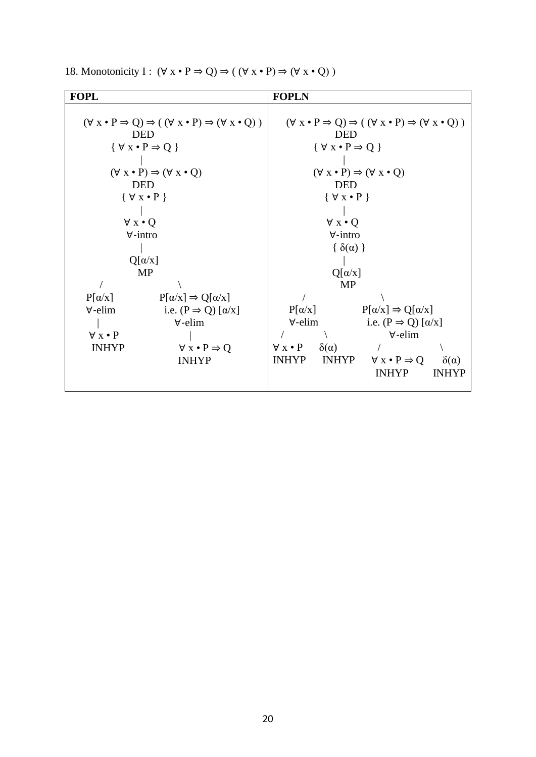| <b>FOPL</b>                                           |                                                                                                       | <b>FOPLN</b>                                                                                          |                             |                                       |                  |
|-------------------------------------------------------|-------------------------------------------------------------------------------------------------------|-------------------------------------------------------------------------------------------------------|-----------------------------|---------------------------------------|------------------|
|                                                       |                                                                                                       |                                                                                                       |                             |                                       |                  |
|                                                       | $(\forall x \cdot P \Rightarrow Q) \Rightarrow ((\forall x \cdot P) \Rightarrow (\forall x \cdot Q))$ | $(\forall x \cdot P \Rightarrow Q) \Rightarrow ((\forall x \cdot P) \Rightarrow (\forall x \cdot Q))$ |                             |                                       |                  |
|                                                       | <b>DED</b>                                                                                            | <b>DED</b>                                                                                            |                             |                                       |                  |
|                                                       | $\{ \forall x \bullet P \Rightarrow Q \}$                                                             | $\{ \forall x \bullet P \Rightarrow Q \}$                                                             |                             |                                       |                  |
|                                                       |                                                                                                       |                                                                                                       |                             |                                       |                  |
| $(\forall x \cdot P) \Rightarrow (\forall x \cdot Q)$ |                                                                                                       | $(\forall x \cdot P) \Rightarrow (\forall x \cdot Q)$                                                 |                             |                                       |                  |
|                                                       | <b>DED</b>                                                                                            |                                                                                                       | <b>DED</b>                  |                                       |                  |
|                                                       | $\{ \forall x \bullet P \}$                                                                           |                                                                                                       | $\{ \forall x \bullet P \}$ |                                       |                  |
|                                                       |                                                                                                       |                                                                                                       |                             |                                       |                  |
| $\forall x \cdot Q$                                   |                                                                                                       | $\forall x \cdot Q$                                                                                   |                             |                                       |                  |
|                                                       | $\forall$ -intro                                                                                      | $\forall$ -intro                                                                                      |                             |                                       |                  |
|                                                       |                                                                                                       |                                                                                                       | $\{\delta(\alpha)\}\$       |                                       |                  |
|                                                       | $Q[\alpha/x]$                                                                                         |                                                                                                       |                             |                                       |                  |
|                                                       | MP                                                                                                    |                                                                                                       | $Q[\alpha/x]$               |                                       |                  |
|                                                       |                                                                                                       |                                                                                                       | <b>MP</b>                   |                                       |                  |
| $P[\alpha/x]$                                         | $P[\alpha/x] \Rightarrow Q[\alpha/x]$                                                                 |                                                                                                       |                             |                                       |                  |
| $\forall$ -elim                                       | i.e. $(P \Rightarrow Q) [\alpha/x]$                                                                   | $P[\alpha/x]$                                                                                         |                             | $P[\alpha/x] \Rightarrow Q[\alpha/x]$ |                  |
|                                                       | $\forall$ -elim                                                                                       | $\forall$ -elim                                                                                       |                             | i.e. $(P \Rightarrow Q) [\alpha/x]$   |                  |
| $\forall x \cdot P$                                   |                                                                                                       |                                                                                                       |                             | $\forall$ -elim                       |                  |
| <b>INHYP</b>                                          | $\forall x \cdot P \Rightarrow Q$                                                                     | $\forall x \cdot P$                                                                                   | $\delta(\alpha)$            |                                       |                  |
|                                                       | <b>INHYP</b>                                                                                          | <b>INHYP</b>                                                                                          | <b>INHYP</b>                | $\forall x \cdot P \Rightarrow Q$     | $\delta(\alpha)$ |
|                                                       |                                                                                                       |                                                                                                       |                             | <b>INHYP</b>                          | <b>INHYP</b>     |
|                                                       |                                                                                                       |                                                                                                       |                             |                                       |                  |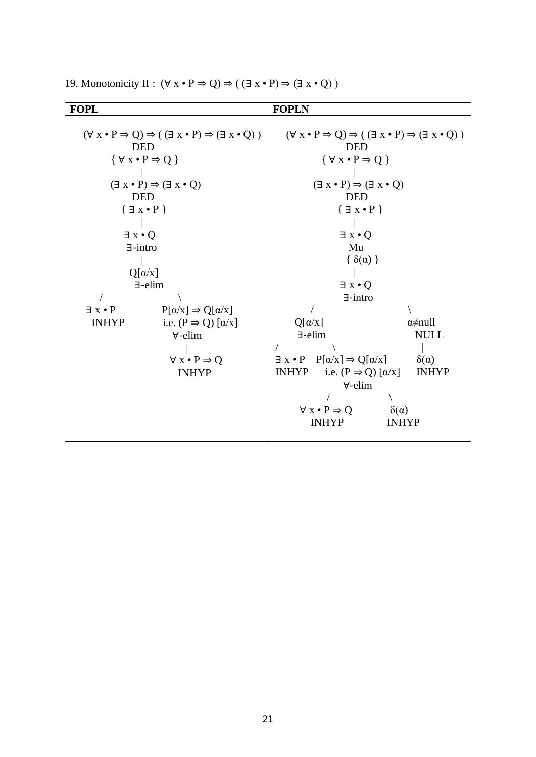| <b>FOPL</b>         |                                                                                                     | <b>FOPLN</b>                                                                                        |                           |  |
|---------------------|-----------------------------------------------------------------------------------------------------|-----------------------------------------------------------------------------------------------------|---------------------------|--|
|                     |                                                                                                     |                                                                                                     |                           |  |
|                     | $(\forall x \cdot P \Rightarrow Q) \Rightarrow (\exists x \cdot P) \Rightarrow (\exists x \cdot Q)$ | $(\forall x \cdot P \Rightarrow Q) \Rightarrow (\exists x \cdot P) \Rightarrow (\exists x \cdot Q)$ |                           |  |
|                     | <b>DED</b>                                                                                          | <b>DED</b>                                                                                          |                           |  |
|                     | $\{\forall x \cdot P \Rightarrow Q\}$                                                               | $\{ \forall x \bullet P \Rightarrow Q \}$                                                           |                           |  |
|                     |                                                                                                     |                                                                                                     |                           |  |
|                     | $(\exists x \cdot P) \Rightarrow (\exists x \cdot Q)$                                               | $(\exists x \cdot P) \Rightarrow (\exists x \cdot Q)$                                               |                           |  |
|                     | <b>DED</b>                                                                                          | <b>DED</b>                                                                                          |                           |  |
|                     | ${ \exists x \cdot P }$                                                                             | $\{ \exists x \bullet P \}$                                                                         |                           |  |
|                     |                                                                                                     |                                                                                                     |                           |  |
| $\exists x \cdot Q$ |                                                                                                     | $\exists x \cdot Q$                                                                                 |                           |  |
|                     | $\exists$ -intro                                                                                    | Mu                                                                                                  |                           |  |
|                     |                                                                                                     | $\{\delta(\alpha)\}\$                                                                               |                           |  |
|                     | $Q[\alpha/x]$                                                                                       |                                                                                                     |                           |  |
|                     | $\exists$ -elim                                                                                     | $\exists x \cdot Q$                                                                                 |                           |  |
|                     |                                                                                                     | $\exists$ -intro                                                                                    |                           |  |
| $\exists x \cdot P$ | $P[\alpha/x] \Rightarrow Q[\alpha/x]$                                                               |                                                                                                     |                           |  |
| <b>INHYP</b>        | i.e. $(P \Rightarrow Q) [\alpha/x]$                                                                 | $Q[\alpha/x]$                                                                                       | $\alpha \neq \text{null}$ |  |
|                     | $\forall$ -elim                                                                                     | $\exists$ -elim                                                                                     | <b>NULL</b>               |  |
|                     |                                                                                                     |                                                                                                     |                           |  |
|                     | $\forall x \cdot P \Rightarrow Q$                                                                   | $\exists x \cdot P \quad P[\alpha/x] \Rightarrow Q[\alpha/x]$                                       | $\delta(\alpha)$          |  |
|                     | <b>INHYP</b>                                                                                        | <b>INHYP</b><br>i.e. $(P \Rightarrow Q) [\alpha/x]$                                                 | <b>INHYP</b>              |  |
|                     |                                                                                                     | $\forall$ -elim                                                                                     |                           |  |
|                     |                                                                                                     |                                                                                                     |                           |  |
|                     |                                                                                                     | $\forall x \cdot P \Rightarrow Q$                                                                   | $\delta(\alpha)$          |  |
|                     |                                                                                                     | <b>INHYP</b>                                                                                        | <b>INHYP</b>              |  |
|                     |                                                                                                     |                                                                                                     |                           |  |

19. Monotonicity II :  $(\forall x \cdot P \Rightarrow Q) \Rightarrow (\exists x \cdot P) \Rightarrow (\exists x \cdot Q)$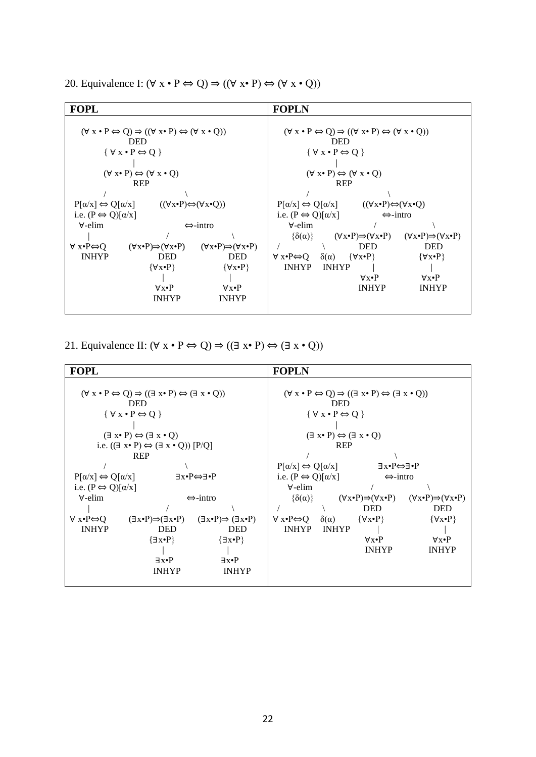20. Equivalence I:  $(\forall x \cdot P \Leftrightarrow Q) \Rightarrow ((\forall x \cdot P) \Leftrightarrow (\forall x \cdot Q))$ 

| <b>FOPL</b>                                                                                                                                        |                                                       |                                                       | <b>FOPLN</b>                                                                                                                                                                  |  |  |  |
|----------------------------------------------------------------------------------------------------------------------------------------------------|-------------------------------------------------------|-------------------------------------------------------|-------------------------------------------------------------------------------------------------------------------------------------------------------------------------------|--|--|--|
| $(\forall x \cdot P \Leftrightarrow Q) \Rightarrow ((\forall x \cdot P) \Leftrightarrow (\forall x \cdot Q))$<br><b>DED</b>                        |                                                       |                                                       | $(\forall x \cdot P \Leftrightarrow Q) \Rightarrow ((\forall x \cdot P) \Leftrightarrow (\forall x \cdot Q))$<br><b>DED</b>                                                   |  |  |  |
| $\{ \forall x \bullet P \Leftrightarrow Q \}$                                                                                                      |                                                       |                                                       | $\{\forall x \cdot P \Leftrightarrow Q\}$                                                                                                                                     |  |  |  |
| $(\forall x \cdot P) \Leftrightarrow (\forall x \cdot Q)$                                                                                          |                                                       |                                                       | $(\forall x \cdot P) \Leftrightarrow (\forall x \cdot Q)$                                                                                                                     |  |  |  |
|                                                                                                                                                    | <b>REP</b>                                            |                                                       | <b>REP</b>                                                                                                                                                                    |  |  |  |
| $P[\alpha/x] \Leftrightarrow Q[\alpha/x]$<br>$((\forall x \cdot P) \Leftrightarrow (\forall x \cdot Q))$<br>i.e. $(P \Leftrightarrow Q)[\alpha/x]$ |                                                       |                                                       | $P[\alpha/x] \Leftrightarrow Q[\alpha/x]$<br>$((\forall x \cdot P) \Leftrightarrow (\forall x \cdot Q)$<br>i.e. $(P \Leftrightarrow Q)[\alpha/x]$<br>$\Leftrightarrow$ -intro |  |  |  |
| $\forall$ -elim                                                                                                                                    |                                                       | $\leftrightarrow$ -intro                              | $\forall$ -elim                                                                                                                                                               |  |  |  |
| $\forall x \cdot P \Leftrightarrow Q$                                                                                                              | $(\forall x \cdot P) \Rightarrow (\forall x \cdot P)$ | $(\forall x \cdot P) \Rightarrow (\forall x \cdot P)$ | $\{\delta(\alpha)\}$<br>$(\forall x \cdot P) \Rightarrow (\forall x \cdot P)$<br>$(\forall x \cdot P) \Rightarrow (\forall x \cdot P)$<br><b>DED</b><br><b>DED</b>            |  |  |  |
| <b>INHYP</b>                                                                                                                                       | <b>DED</b><br>$\{\forall x \bullet P\}$               | <b>DED</b><br>$\{\forall x \bullet P\}$               | $\forall x \cdot P \Leftrightarrow Q \quad \delta(\alpha) \quad {\forall x \cdot P}$<br>$\{\forall x \bullet P\}$<br><b>INHYP</b><br><b>INHYP</b>                             |  |  |  |
|                                                                                                                                                    |                                                       |                                                       | $\forall x \cdot P$<br>$\forall x \bullet P$                                                                                                                                  |  |  |  |
|                                                                                                                                                    | $\forall x \bullet P$<br><b>INHYP</b>                 | $\forall x \bullet P$<br><b>INHYP</b>                 | <b>INHYP</b><br><b>INHYP</b>                                                                                                                                                  |  |  |  |
|                                                                                                                                                    |                                                       |                                                       |                                                                                                                                                                               |  |  |  |

21. Equivalence II:  $(\forall x \cdot P \Leftrightarrow Q) \Rightarrow ((\exists x \cdot P) \Leftrightarrow (\exists x \cdot Q))$ 

| <b>FOPL</b>                                                                                                                                                                                                                                                                                                                                                                                                                                                                     |                                                                                                                                           |                                                                                                                                                                                                                                                                                                                                                                                                         | <b>FOPLN</b>                                     |                                  |                                                                                                                                           |                                                                                                                                           |
|---------------------------------------------------------------------------------------------------------------------------------------------------------------------------------------------------------------------------------------------------------------------------------------------------------------------------------------------------------------------------------------------------------------------------------------------------------------------------------|-------------------------------------------------------------------------------------------------------------------------------------------|---------------------------------------------------------------------------------------------------------------------------------------------------------------------------------------------------------------------------------------------------------------------------------------------------------------------------------------------------------------------------------------------------------|--------------------------------------------------|----------------------------------|-------------------------------------------------------------------------------------------------------------------------------------------|-------------------------------------------------------------------------------------------------------------------------------------------|
| $(\forall x \cdot P \Leftrightarrow Q) \Rightarrow ((\exists x \cdot P) \Leftrightarrow (\exists x \cdot Q))$<br><b>DED</b><br>$\{\forall x \cdot P \Leftrightarrow Q\}$<br>$(\exists x \cdot P) \Leftrightarrow (\exists x \cdot Q)$<br>i.e. $((\exists x \cdot P) \Leftrightarrow (\exists x \cdot Q)) [P/Q]$<br><b>REP</b><br>$P[\alpha/x] \Leftrightarrow Q[\alpha/x]$<br>$\exists x \bullet P \Leftrightarrow \exists \bullet P$<br>i.e. $(P \Leftrightarrow Q)[\alpha/x]$ |                                                                                                                                           | $(\forall x \cdot P \Leftrightarrow Q) \Rightarrow ((\exists x \cdot P) \Leftrightarrow (\exists x \cdot Q))$<br><b>DED</b><br>$\{\forall x \bullet P \Leftrightarrow Q\}$<br>$(\exists x \cdot P) \Leftrightarrow (\exists x \cdot Q)$<br><b>REP</b><br>$P[\alpha/x] \Leftrightarrow Q[\alpha/x]$<br>∃x•P⇔∃•P<br>i.e. $(P \Leftrightarrow Q)[\alpha/x]$<br>$\Leftrightarrow$ -intro<br>$\forall$ -elim |                                                  |                                  |                                                                                                                                           |                                                                                                                                           |
| $\forall$ -elim<br>$\forall x \cdot P \Leftrightarrow Q$<br><b>INHYP</b>                                                                                                                                                                                                                                                                                                                                                                                                        | $(\exists x \cdot P) \Rightarrow (\exists x \cdot P)$<br><b>DED</b><br>$\{\exists x \bullet P\}$<br>$\exists x \bullet P$<br><b>INHYP</b> | $\Leftrightarrow$ -intro<br>$(\exists x \cdot P) \Rightarrow (\exists x \cdot P)$<br><b>DED</b><br>$\{\exists x \bullet P\}$<br>$\exists x \bullet P$<br><b>INHYP</b>                                                                                                                                                                                                                                   | $\{\delta(\alpha)\}\$<br>∀ x•P⇔O<br><b>INHYP</b> | $\delta(\alpha)$<br><b>INHYP</b> | $(\forall x \cdot P) \Rightarrow (\forall x \cdot P)$<br><b>DED</b><br>$\{\forall x \bullet P\}$<br>$\forall x \bullet P$<br><b>INHYP</b> | $(\forall x \cdot P) \Rightarrow (\forall x \cdot P)$<br><b>DED</b><br>$\{\forall x \bullet P\}$<br>$\forall x \bullet P$<br><b>INHYP</b> |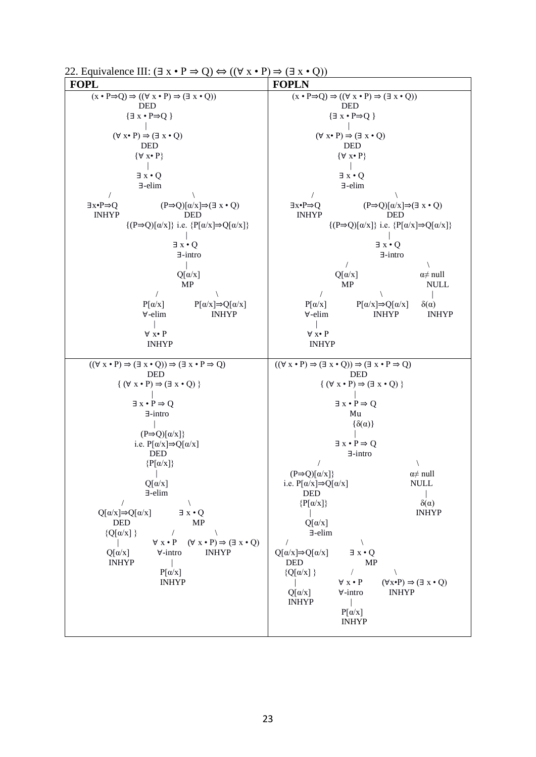| 22. Equivalence III: $(\exists x \cdot P \Rightarrow Q) \Leftrightarrow ((\forall x \cdot P) \Rightarrow (\exists x \cdot Q))$        |                                                                                                                                                                                                                                                                                           |
|---------------------------------------------------------------------------------------------------------------------------------------|-------------------------------------------------------------------------------------------------------------------------------------------------------------------------------------------------------------------------------------------------------------------------------------------|
| <b>FOPL</b>                                                                                                                           | <b>FOPLN</b>                                                                                                                                                                                                                                                                              |
| $(x \cdot P \Rightarrow Q) \Rightarrow ((\forall x \cdot P) \Rightarrow (\exists x \cdot Q))$                                         | $(x \cdot P \Rightarrow Q) \Rightarrow ((\forall x \cdot P) \Rightarrow (\exists x \cdot Q))$                                                                                                                                                                                             |
| <b>DED</b>                                                                                                                            | <b>DED</b>                                                                                                                                                                                                                                                                                |
| $\{\exists x \cdot P \Rightarrow Q\}$                                                                                                 | $\{\exists x \cdot P \Rightarrow Q\}$                                                                                                                                                                                                                                                     |
| $(\forall x \cdot P) \Rightarrow (\exists x \cdot Q)$                                                                                 | $(\forall x \cdot P) \Rightarrow (\exists x \cdot Q)$                                                                                                                                                                                                                                     |
| <b>DED</b>                                                                                                                            | <b>DED</b>                                                                                                                                                                                                                                                                                |
| $\{\forall x \bullet P\}$                                                                                                             | $\{\forall x \bullet P\}$                                                                                                                                                                                                                                                                 |
| $\exists x \cdot Q$                                                                                                                   | $\exists x \cdot Q$                                                                                                                                                                                                                                                                       |
| ∃-elim                                                                                                                                | ∃-elim                                                                                                                                                                                                                                                                                    |
| $\exists x \cdot P \Rightarrow Q$                                                                                                     | $(P\Rightarrow Q)[\alpha/x] \Rightarrow (\exists x \cdot Q)$                                                                                                                                                                                                                              |
| $(P\Rightarrow Q)[\alpha/x] \Rightarrow (\exists x \cdot Q)$                                                                          | $\exists x \cdot P \Rightarrow Q$                                                                                                                                                                                                                                                         |
| <b>INHYP</b>                                                                                                                          | <b>INHYP</b>                                                                                                                                                                                                                                                                              |
| <b>DED</b>                                                                                                                            | DED                                                                                                                                                                                                                                                                                       |
| $\{(P\Rightarrow Q)[\alpha/x]\}\$ i.e. $\{P[\alpha/x]\Rightarrow Q[\alpha/x]\}\$                                                      | $\{(P\Rightarrow Q)[\alpha/x]\}\$ i.e. $\{P[\alpha/x]\Rightarrow Q[\alpha/x]\}\$                                                                                                                                                                                                          |
| $\exists x \cdot Q$                                                                                                                   | $\exists x \cdot Q$                                                                                                                                                                                                                                                                       |
| $\exists$ -intro                                                                                                                      | $\exists$ -intro                                                                                                                                                                                                                                                                          |
| $Q[\alpha/x]$<br><b>MP</b><br>$\sqrt{2}$<br>$P[\alpha/x] \Rightarrow Q[\alpha/x]$<br>$P[\alpha/x]$<br>$\forall$ -elim<br><b>INHYP</b> | $Q[\alpha/x]$<br>$\alpha \neq \text{null}$<br>MP<br><b>NULL</b><br>$\sqrt{2}$<br>$P[\alpha/x] \Rightarrow Q[\alpha/x]$<br>$P[\alpha/x]$<br>$\delta(\alpha)$<br>∀-elim<br><b>INHYP</b><br><b>INHYP</b>                                                                                     |
| $\forall x \bullet P$                                                                                                                 | $\forall x \bullet P$                                                                                                                                                                                                                                                                     |
| <b>INHYP</b>                                                                                                                          | <b>INHYP</b>                                                                                                                                                                                                                                                                              |
| $((\forall x \cdot P) \Rightarrow (\exists x \cdot Q)) \Rightarrow (\exists x \cdot P \Rightarrow Q)$                                 | $((\forall x \cdot P) \Rightarrow (\exists x \cdot Q)) \Rightarrow (\exists x \cdot P \Rightarrow Q)$                                                                                                                                                                                     |
| <b>DED</b>                                                                                                                            | <b>DED</b>                                                                                                                                                                                                                                                                                |
| $\{ (\forall x \cdot P) \Rightarrow (\exists x \cdot Q) \}$                                                                           | ${ (\forall x \cdot P) \Rightarrow (\exists x \cdot Q) }$                                                                                                                                                                                                                                 |
| $\exists x \cdot P \Rightarrow Q$                                                                                                     | $\exists x \cdot P \Rightarrow Q$                                                                                                                                                                                                                                                         |
| $\exists$ -intro                                                                                                                      | Mu                                                                                                                                                                                                                                                                                        |
| $(P\Rightarrow Q)[\alpha/x]$                                                                                                          | $\{\delta(\alpha)\}\$                                                                                                                                                                                                                                                                     |
| i.e. $P[\alpha/x] \Rightarrow Q[\alpha/x]$<br><b>DED</b><br>$\{P[\alpha/x]\}$                                                         | $\exists x \cdot P \Rightarrow Q$<br>$\exists$ -intro<br>$(P\!\!\Rightarrow\!\!Q)[\alpha/x]\}$<br>$\alpha \neq \text{null}$                                                                                                                                                               |
| $Q[\alpha/x]$                                                                                                                         | i.e. $P[\alpha/x]{\Rightarrow}Q[\alpha/x]$                                                                                                                                                                                                                                                |
| $\exists$ -elim                                                                                                                       | <b>NULL</b>                                                                                                                                                                                                                                                                               |
| $Q[\alpha/x]{\Rightarrow}Q[\alpha/x]$                                                                                                 | <b>DED</b>                                                                                                                                                                                                                                                                                |
| $\exists x \cdot Q$                                                                                                                   | $\delta(\alpha)$                                                                                                                                                                                                                                                                          |
| <b>DED</b>                                                                                                                            | $\{P[\alpha/x]\}$                                                                                                                                                                                                                                                                         |
| <b>MP</b>                                                                                                                             | <b>INHYP</b>                                                                                                                                                                                                                                                                              |
| ${Q[\alpha/x]}$                                                                                                                       | $Q[\alpha/x]$                                                                                                                                                                                                                                                                             |
| $\frac{1}{2}$                                                                                                                         | $\exists$ -elim                                                                                                                                                                                                                                                                           |
| $\forall x \cdot P \quad (\forall x \cdot P) \Rightarrow (\exists x \cdot Q)$                                                         | $\sqrt{2}$                                                                                                                                                                                                                                                                                |
| and the state                                                                                                                         | $\sqrt{2}$                                                                                                                                                                                                                                                                                |
| <b>INHYP</b><br>$\forall$ -intro<br>$Q[\alpha/x]$<br><b>INHYP</b><br>$P[\alpha/x]$<br><b>INHYP</b>                                    | $Q[\alpha/x] \Rightarrow Q[\alpha/x]$<br>$\exists x \cdot Q$<br><b>DED</b><br>MP<br>${Q[\alpha/x]}$<br>$\sqrt{2}$<br>$\forall x \bullet P$<br>$(\forall x \cdot P) \Rightarrow (\exists x \cdot Q)$<br>$Q[\alpha/x]$<br>$\forall$ -intro<br><b>INHYP</b><br><b>INHYP</b><br>$P[\alpha/x]$ |
|                                                                                                                                       | <b>INHYP</b>                                                                                                                                                                                                                                                                              |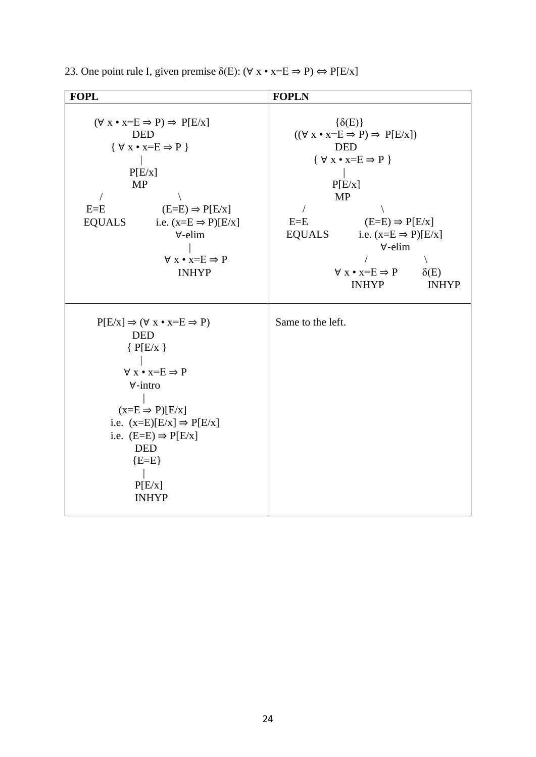| 23. One point rule I, given premise $\delta(E)$ : $(\forall x \cdot x = E \Rightarrow P) \Leftrightarrow P[E/x]$ |  |  |  |
|------------------------------------------------------------------------------------------------------------------|--|--|--|
|------------------------------------------------------------------------------------------------------------------|--|--|--|

| <b>FOPL</b><br>$(\forall x \cdot x = E \Rightarrow P) \Rightarrow P[E/x]$<br><b>DED</b><br>$\{ \forall x \bullet x = E \Rightarrow P \}$<br>P[E/x]<br>MP<br>$E = E$<br>$(E=E) \Rightarrow P[E/x]$<br><b>EQUALS</b><br>i.e. $(x=E \Rightarrow P)[E/x]$<br>$\forall$ -elim<br>$\forall x \cdot x = E \Rightarrow P$<br><b>INHYP</b> | <b>FOPLN</b><br>$\{\delta(E)\}\$<br>$((\forall x \cdot x = E \Rightarrow P) \Rightarrow P[E/x])$<br><b>DED</b><br>$\{ \forall x \bullet x = E \Rightarrow P \}$<br>P[E/x]<br><b>MP</b><br>$\sqrt{2}$<br>$E = E$<br>$(E=E) \Rightarrow P[E/x]$<br><b>EQUALS</b><br>i.e. $(x=E \Rightarrow P)[E/x]$<br>$\forall$ -elim<br>$\forall x \cdot x = E \Rightarrow P$<br>$\delta(E)$<br><b>INHYP</b><br><b>INHYP</b> |
|-----------------------------------------------------------------------------------------------------------------------------------------------------------------------------------------------------------------------------------------------------------------------------------------------------------------------------------|--------------------------------------------------------------------------------------------------------------------------------------------------------------------------------------------------------------------------------------------------------------------------------------------------------------------------------------------------------------------------------------------------------------|
| $P[E/x] \Rightarrow (\forall x \cdot x = E \Rightarrow P)$<br><b>DED</b><br>${P(E/x)}$<br>$\forall x \cdot x = E \Rightarrow P$<br>$\forall$ -intro<br>$(x= E \Rightarrow P)[E/x]$<br>i.e. $(x=E)[E/x] \Rightarrow P[E/x]$<br>i.e. $(E=E) \Rightarrow P[E/x]$<br><b>DED</b><br>${E=E}$<br>P[E/x]<br><b>INHYP</b>                  | Same to the left.                                                                                                                                                                                                                                                                                                                                                                                            |